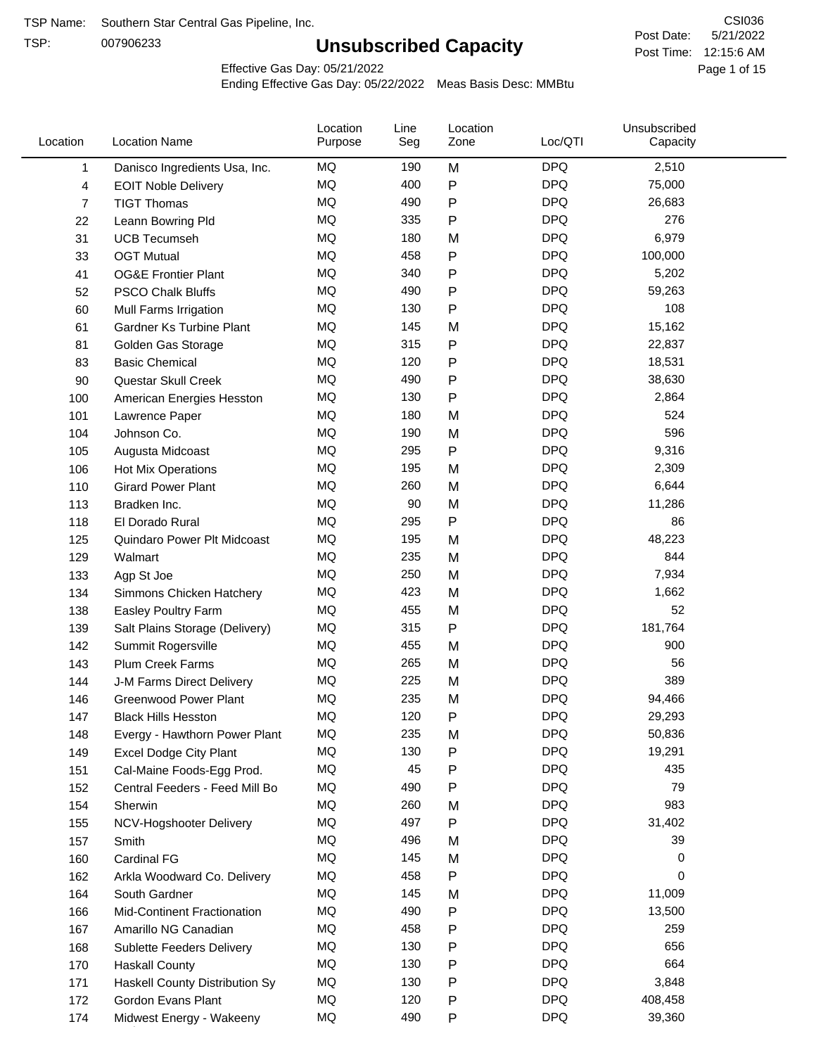TSP:

# **Unsubscribed Capacity**

5/21/2022 Page 1 of 15 Post Time: 12:15:6 AM CSI036 Post Date:

Effective Gas Day: 05/21/2022

| Location | <b>Location Name</b>           | Location<br>Purpose | Line<br>Seg | Location<br>Zone | Loc/QTI    | Unsubscribed<br>Capacity |  |
|----------|--------------------------------|---------------------|-------------|------------------|------------|--------------------------|--|
| 1        | Danisco Ingredients Usa, Inc.  | MQ                  | 190         | M                | <b>DPQ</b> | 2,510                    |  |
| 4        | <b>EOIT Noble Delivery</b>     | <b>MQ</b>           | 400         | ${\sf P}$        | <b>DPQ</b> | 75,000                   |  |
| 7        | <b>TIGT Thomas</b>             | <b>MQ</b>           | 490         | $\mathsf{P}$     | <b>DPQ</b> | 26,683                   |  |
| 22       | Leann Bowring Pld              | <b>MQ</b>           | 335         | $\mathsf{P}$     | <b>DPQ</b> | 276                      |  |
| 31       | <b>UCB Tecumseh</b>            | <b>MQ</b>           | 180         | M                | <b>DPQ</b> | 6,979                    |  |
| 33       | <b>OGT Mutual</b>              | <b>MQ</b>           | 458         | $\mathsf{P}$     | <b>DPQ</b> | 100,000                  |  |
| 41       | <b>OG&amp;E Frontier Plant</b> | MQ                  | 340         | $\mathsf{P}$     | <b>DPQ</b> | 5,202                    |  |
| 52       | <b>PSCO Chalk Bluffs</b>       | <b>MQ</b>           | 490         | $\mathsf{P}$     | <b>DPQ</b> | 59,263                   |  |
| 60       | Mull Farms Irrigation          | <b>MQ</b>           | 130         | $\mathsf{P}$     | <b>DPQ</b> | 108                      |  |
| 61       | Gardner Ks Turbine Plant       | <b>MQ</b>           | 145         | M                | <b>DPQ</b> | 15,162                   |  |
| 81       | Golden Gas Storage             | MQ                  | 315         | $\mathsf{P}$     | <b>DPQ</b> | 22,837                   |  |
| 83       | <b>Basic Chemical</b>          | MQ                  | 120         | $\mathsf{P}$     | <b>DPQ</b> | 18,531                   |  |
| 90       | Questar Skull Creek            | MQ                  | 490         | $\mathsf{P}$     | <b>DPQ</b> | 38,630                   |  |
| 100      | American Energies Hesston      | <b>MQ</b>           | 130         | $\mathsf{P}$     | <b>DPQ</b> | 2,864                    |  |
| 101      | Lawrence Paper                 | <b>MQ</b>           | 180         | M                | <b>DPQ</b> | 524                      |  |
| 104      | Johnson Co.                    | <b>MQ</b>           | 190         | M                | <b>DPQ</b> | 596                      |  |
| 105      | Augusta Midcoast               | <b>MQ</b>           | 295         | $\mathsf{P}$     | <b>DPQ</b> | 9,316                    |  |
| 106      | Hot Mix Operations             | <b>MQ</b>           | 195         | M                | <b>DPQ</b> | 2,309                    |  |
| 110      | <b>Girard Power Plant</b>      | <b>MQ</b>           | 260         | M                | <b>DPQ</b> | 6,644                    |  |
| 113      | Bradken Inc.                   | <b>MQ</b>           | 90          | M                | <b>DPQ</b> | 11,286                   |  |
| 118      | El Dorado Rural                | MQ                  | 295         | P                | <b>DPQ</b> | 86                       |  |
| 125      | Quindaro Power Plt Midcoast    | <b>MQ</b>           | 195         | M                | <b>DPQ</b> | 48,223                   |  |
| 129      | Walmart                        | <b>MQ</b>           | 235         | M                | <b>DPQ</b> | 844                      |  |
| 133      | Agp St Joe                     | <b>MQ</b>           | 250         | M                | <b>DPQ</b> | 7,934                    |  |
| 134      | Simmons Chicken Hatchery       | <b>MQ</b>           | 423         | M                | <b>DPQ</b> | 1,662                    |  |
| 138      | Easley Poultry Farm            | MQ                  | 455         | M                | <b>DPQ</b> | 52                       |  |
| 139      | Salt Plains Storage (Delivery) | <b>MQ</b>           | 315         | ${\sf P}$        | <b>DPQ</b> | 181,764                  |  |
| 142      | Summit Rogersville             | <b>MQ</b>           | 455         | M                | <b>DPQ</b> | 900                      |  |
| 143      | <b>Plum Creek Farms</b>        | MQ                  | 265         | M                | <b>DPQ</b> | 56                       |  |
| 144      | J-M Farms Direct Delivery      | MQ                  | 225         | M                | <b>DPQ</b> | 389                      |  |
| 146      | <b>Greenwood Power Plant</b>   | <b>MQ</b>           | 235         | M                | <b>DPQ</b> | 94,466                   |  |
| 147      | <b>Black Hills Hesston</b>     | MQ                  | 120         | P                | <b>DPQ</b> | 29,293                   |  |
| 148      | Evergy - Hawthorn Power Plant  | MQ                  | 235         | M                | <b>DPQ</b> | 50,836                   |  |
| 149      | Excel Dodge City Plant         | MQ                  | 130         | $\mathsf{P}$     | <b>DPQ</b> | 19,291                   |  |
| 151      | Cal-Maine Foods-Egg Prod.      | MQ                  | 45          | ${\sf P}$        | <b>DPQ</b> | 435                      |  |
| 152      | Central Feeders - Feed Mill Bo | MQ                  | 490         | $\mathsf{P}$     | <b>DPQ</b> | 79                       |  |
| 154      | Sherwin                        | MQ                  | 260         | M                | <b>DPQ</b> | 983                      |  |
| 155      | NCV-Hogshooter Delivery        | MQ                  | 497         | Ρ                | <b>DPQ</b> | 31,402                   |  |
| 157      | Smith                          | MQ                  | 496         | M                | <b>DPQ</b> | 39                       |  |
| 160      | <b>Cardinal FG</b>             | MQ                  | 145         | M                | <b>DPQ</b> | 0                        |  |
| 162      | Arkla Woodward Co. Delivery    | MQ                  | 458         | P                | <b>DPQ</b> | 0                        |  |
| 164      | South Gardner                  | MQ                  | 145         | M                | <b>DPQ</b> | 11,009                   |  |
| 166      | Mid-Continent Fractionation    | MQ                  | 490         | $\mathsf{P}$     | <b>DPQ</b> | 13,500                   |  |
| 167      | Amarillo NG Canadian           | MQ                  | 458         | $\mathsf{P}$     | <b>DPQ</b> | 259                      |  |
| 168      | Sublette Feeders Delivery      | MQ                  | 130         | $\mathsf{P}$     | <b>DPQ</b> | 656                      |  |
| 170      | <b>Haskall County</b>          | MQ                  | 130         | P                | <b>DPQ</b> | 664                      |  |
| 171      | Haskell County Distribution Sy | MQ                  | 130         | $\mathsf{P}$     | <b>DPQ</b> | 3,848                    |  |
| 172      | Gordon Evans Plant             | MQ                  | 120         | P                | <b>DPQ</b> | 408,458                  |  |
| 174      | Midwest Energy - Wakeeny       | MQ                  | 490         | P                | <b>DPQ</b> | 39,360                   |  |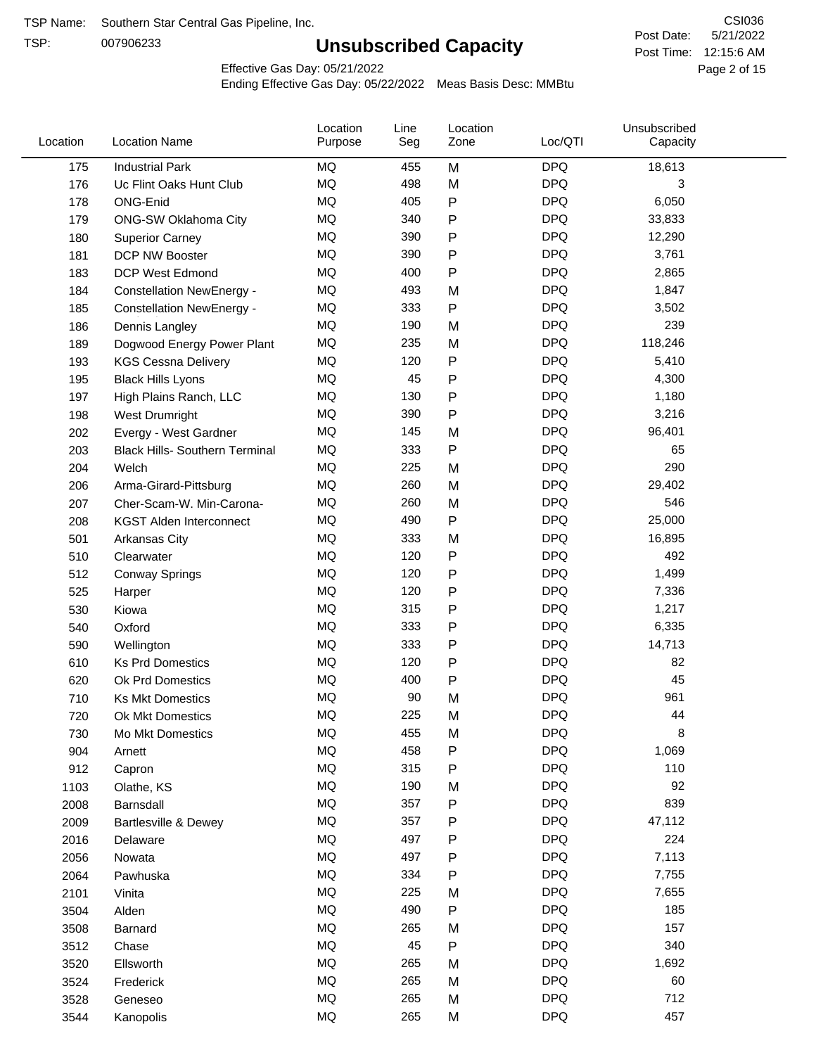TSP:

# **Unsubscribed Capacity**

5/21/2022 Page 2 of 15 Post Time: 12:15:6 AM CSI036 Post Date:

Effective Gas Day: 05/21/2022

| Location | <b>Location Name</b>                  | Location<br>Purpose | Line<br>Seg | Location<br>Zone | Loc/QTI    | Unsubscribed<br>Capacity |  |
|----------|---------------------------------------|---------------------|-------------|------------------|------------|--------------------------|--|
| 175      | <b>Industrial Park</b>                | <b>MQ</b>           | 455         | M                | <b>DPQ</b> | 18,613                   |  |
| 176      | Uc Flint Oaks Hunt Club               | MQ                  | 498         | M                | <b>DPQ</b> | 3                        |  |
| 178      | ONG-Enid                              | <b>MQ</b>           | 405         | P                | <b>DPQ</b> | 6,050                    |  |
| 179      | <b>ONG-SW Oklahoma City</b>           | <b>MQ</b>           | 340         | P                | <b>DPQ</b> | 33,833                   |  |
| 180      | <b>Superior Carney</b>                | <b>MQ</b>           | 390         | P                | <b>DPQ</b> | 12,290                   |  |
| 181      | DCP NW Booster                        | <b>MQ</b>           | 390         | P                | <b>DPQ</b> | 3,761                    |  |
| 183      | <b>DCP West Edmond</b>                | MQ                  | 400         | P                | <b>DPQ</b> | 2,865                    |  |
| 184      | <b>Constellation NewEnergy -</b>      | MQ                  | 493         | M                | <b>DPQ</b> | 1,847                    |  |
| 185      | <b>Constellation NewEnergy -</b>      | MQ                  | 333         | P                | <b>DPQ</b> | 3,502                    |  |
| 186      | Dennis Langley                        | MQ                  | 190         | M                | <b>DPQ</b> | 239                      |  |
| 189      | Dogwood Energy Power Plant            | <b>MQ</b>           | 235         | M                | <b>DPQ</b> | 118,246                  |  |
| 193      | <b>KGS Cessna Delivery</b>            | <b>MQ</b>           | 120         | P                | <b>DPQ</b> | 5,410                    |  |
| 195      | <b>Black Hills Lyons</b>              | MQ                  | 45          | P                | <b>DPQ</b> | 4,300                    |  |
| 197      | High Plains Ranch, LLC                | <b>MQ</b>           | 130         | P                | <b>DPQ</b> | 1,180                    |  |
| 198      | <b>West Drumright</b>                 | MQ                  | 390         | P                | <b>DPQ</b> | 3,216                    |  |
| 202      | Evergy - West Gardner                 | <b>MQ</b>           | 145         | M                | <b>DPQ</b> | 96,401                   |  |
| 203      | <b>Black Hills- Southern Terminal</b> | <b>MQ</b>           | 333         | Ρ                | <b>DPQ</b> | 65                       |  |
| 204      | Welch                                 | <b>MQ</b>           | 225         | M                | <b>DPQ</b> | 290                      |  |
| 206      | Arma-Girard-Pittsburg                 | <b>MQ</b>           | 260         | M                | <b>DPQ</b> | 29,402                   |  |
| 207      | Cher-Scam-W. Min-Carona-              | <b>MQ</b>           | 260         | M                | <b>DPQ</b> | 546                      |  |
| 208      | <b>KGST Alden Interconnect</b>        | MQ                  | 490         | P                | <b>DPQ</b> | 25,000                   |  |
| 501      | Arkansas City                         | MQ                  | 333         | M                | <b>DPQ</b> | 16,895                   |  |
| 510      | Clearwater                            | <b>MQ</b>           | 120         | P                | <b>DPQ</b> | 492                      |  |
| 512      | <b>Conway Springs</b>                 | <b>MQ</b>           | 120         | P                | <b>DPQ</b> | 1,499                    |  |
| 525      | Harper                                | <b>MQ</b>           | 120         | P                | <b>DPQ</b> | 7,336                    |  |
| 530      | Kiowa                                 | <b>MQ</b>           | 315         | P                | <b>DPQ</b> | 1,217                    |  |
| 540      | Oxford                                | <b>MQ</b>           | 333         | Ρ                | <b>DPQ</b> | 6,335                    |  |
| 590      | Wellington                            | <b>MQ</b>           | 333         | P                | <b>DPQ</b> | 14,713                   |  |
| 610      | <b>Ks Prd Domestics</b>               | MQ                  | 120         | P                | <b>DPQ</b> | 82                       |  |
| 620      | Ok Prd Domestics                      | MQ                  | 400         | P                | <b>DPQ</b> | 45                       |  |
| 710      | <b>Ks Mkt Domestics</b>               | <b>MQ</b>           | 90          | M                | <b>DPQ</b> | 961                      |  |
| 720      | Ok Mkt Domestics                      | <b>MQ</b>           | 225         | M                | <b>DPQ</b> | 44                       |  |
| 730      | Mo Mkt Domestics                      | MQ                  | 455         | M                | <b>DPQ</b> | 8                        |  |
| 904      | Arnett                                | MQ                  | 458         | Ρ                | <b>DPQ</b> | 1,069                    |  |
| 912      | Capron                                | MQ                  | 315         | P                | <b>DPQ</b> | 110                      |  |
| 1103     | Olathe, KS                            | MQ                  | 190         | M                | <b>DPQ</b> | 92                       |  |
| 2008     | Barnsdall                             | MQ                  | 357         | P                | <b>DPQ</b> | 839                      |  |
| 2009     | Bartlesville & Dewey                  | MQ                  | 357         | Ρ                | <b>DPQ</b> | 47,112                   |  |
| 2016     | Delaware                              | $\sf{MQ}$           | 497         | Ρ                | <b>DPQ</b> | 224                      |  |
| 2056     | Nowata                                | $\sf{MQ}$           | 497         | P                | <b>DPQ</b> | 7,113                    |  |
| 2064     | Pawhuska                              | MQ                  | 334         | Ρ                | <b>DPQ</b> | 7,755                    |  |
| 2101     | Vinita                                | MQ                  | 225         | M                | <b>DPQ</b> | 7,655                    |  |
| 3504     | Alden                                 | MQ                  | 490         | P                | <b>DPQ</b> | 185                      |  |
| 3508     | Barnard                               | MQ                  | 265         | M                | <b>DPQ</b> | 157                      |  |
| 3512     | Chase                                 | MQ                  | 45          | Ρ                | <b>DPQ</b> | 340                      |  |
| 3520     | Ellsworth                             | MQ                  | 265         | M                | <b>DPQ</b> | 1,692                    |  |
| 3524     | Frederick                             | $\sf{MQ}$           | 265         | M                | <b>DPQ</b> | 60                       |  |
| 3528     | Geneseo                               | $\sf{MQ}$           | 265         | M                | <b>DPQ</b> | 712                      |  |
| 3544     | Kanopolis                             | MQ                  | 265         | M                | <b>DPQ</b> | 457                      |  |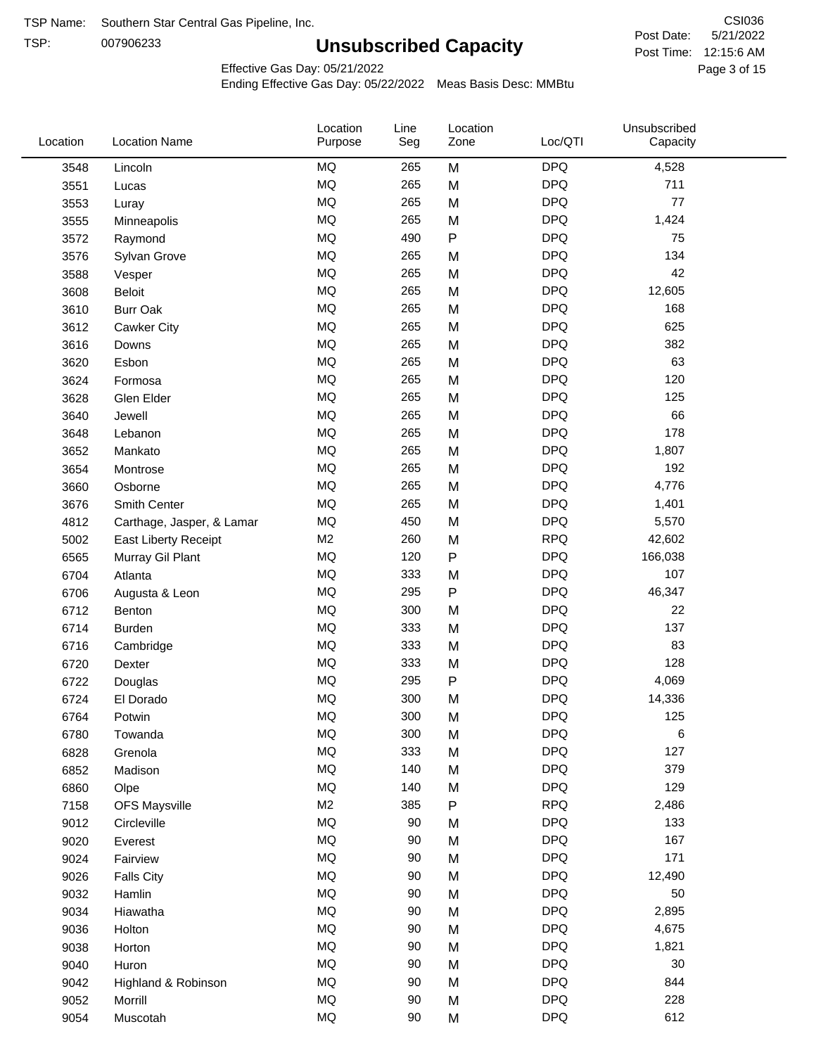TSP:

# **Unsubscribed Capacity**

5/21/2022 Page 3 of 15 Post Time: 12:15:6 AM CSI036 Post Date:

Unsubscribed

Effective Gas Day: 05/21/2022

Location

Ending Effective Gas Day: 05/22/2022 Meas Basis Desc: MMBtu

Line

Location

| Location | <b>Location Name</b>        | Purpose   | Seg | Zone         | Loc/QTI    | Capacity |  |
|----------|-----------------------------|-----------|-----|--------------|------------|----------|--|
| 3548     | Lincoln                     | MQ        | 265 | M            | <b>DPQ</b> | 4,528    |  |
| 3551     | Lucas                       | $\sf{MQ}$ | 265 | M            | <b>DPQ</b> | 711      |  |
| 3553     | Luray                       | MQ        | 265 | M            | <b>DPQ</b> | 77       |  |
| 3555     | Minneapolis                 | MQ        | 265 | M            | <b>DPQ</b> | 1,424    |  |
| 3572     | Raymond                     | <b>MQ</b> | 490 | $\sf P$      | <b>DPQ</b> | 75       |  |
| 3576     | Sylvan Grove                | MQ        | 265 | M            | <b>DPQ</b> | 134      |  |
| 3588     | Vesper                      | MQ        | 265 | M            | <b>DPQ</b> | 42       |  |
| 3608     | <b>Beloit</b>               | MQ        | 265 | M            | <b>DPQ</b> | 12,605   |  |
| 3610     | <b>Burr Oak</b>             | MQ        | 265 | M            | <b>DPQ</b> | 168      |  |
| 3612     | Cawker City                 | $\sf{MQ}$ | 265 | M            | <b>DPQ</b> | 625      |  |
| 3616     | Downs                       | MQ        | 265 | M            | <b>DPQ</b> | 382      |  |
| 3620     | Esbon                       | MQ        | 265 | M            | <b>DPQ</b> | 63       |  |
| 3624     | Formosa                     | MQ        | 265 | M            | <b>DPQ</b> | 120      |  |
| 3628     | Glen Elder                  | <b>MQ</b> | 265 | M            | <b>DPQ</b> | 125      |  |
| 3640     | Jewell                      | MQ        | 265 | M            | <b>DPQ</b> | 66       |  |
| 3648     | Lebanon                     | MQ        | 265 | M            | <b>DPQ</b> | 178      |  |
| 3652     | Mankato                     | MQ        | 265 | M            | <b>DPQ</b> | 1,807    |  |
| 3654     | Montrose                    | MQ        | 265 | M            | <b>DPQ</b> | 192      |  |
| 3660     | Osborne                     | $\sf{MQ}$ | 265 | M            | <b>DPQ</b> | 4,776    |  |
| 3676     | Smith Center                | MQ        | 265 | M            | <b>DPQ</b> | 1,401    |  |
| 4812     | Carthage, Jasper, & Lamar   | MQ        | 450 | M            | <b>DPQ</b> | 5,570    |  |
| 5002     | <b>East Liberty Receipt</b> | M2        | 260 | M            | <b>RPQ</b> | 42,602   |  |
| 6565     | Murray Gil Plant            | MQ        | 120 | $\mathsf{P}$ | <b>DPQ</b> | 166,038  |  |
| 6704     | Atlanta                     | MQ        | 333 | M            | <b>DPQ</b> | 107      |  |
| 6706     | Augusta & Leon              | $\sf{MQ}$ | 295 | P            | <b>DPQ</b> | 46,347   |  |
| 6712     | Benton                      | MQ        | 300 | M            | <b>DPQ</b> | 22       |  |
| 6714     | <b>Burden</b>               | <b>MQ</b> | 333 | M            | <b>DPQ</b> | 137      |  |
| 6716     | Cambridge                   | MQ        | 333 | M            | <b>DPQ</b> | 83       |  |
| 6720     | Dexter                      | MQ        | 333 | M            | <b>DPQ</b> | 128      |  |
| 6722     | Douglas                     | MQ        | 295 | P            | <b>DPQ</b> | 4,069    |  |
| 6724     | El Dorado                   | MQ        | 300 | M            | <b>DPQ</b> | 14,336   |  |
| 6764     | Potwin                      | <b>MQ</b> | 300 | M            | <b>DPQ</b> | 125      |  |
| 6780     | Towanda                     | $\sf{MQ}$ | 300 | M            | <b>DPQ</b> | 6        |  |
| 6828     | Grenola                     | MQ        | 333 | M            | <b>DPQ</b> | 127      |  |
| 6852     | Madison                     | $\sf{MQ}$ | 140 | M            | <b>DPQ</b> | 379      |  |
| 6860     | Olpe                        | MQ        | 140 | M            | <b>DPQ</b> | 129      |  |
| 7158     | <b>OFS Maysville</b>        | M2        | 385 | P            | <b>RPQ</b> | 2,486    |  |
| 9012     | Circleville                 | MQ        | 90  | M            | <b>DPQ</b> | 133      |  |
| 9020     | Everest                     | $\sf{MQ}$ | 90  | M            | <b>DPQ</b> | 167      |  |
| 9024     | Fairview                    | $\sf{MQ}$ | 90  | M            | <b>DPQ</b> | 171      |  |
| 9026     | <b>Falls City</b>           | MQ        | 90  | M            | <b>DPQ</b> | 12,490   |  |
| 9032     | Hamlin                      | MQ        | 90  | M            | <b>DPQ</b> | 50       |  |
| 9034     | Hiawatha                    | MQ        | 90  | M            | <b>DPQ</b> | 2,895    |  |
| 9036     | Holton                      | MQ        | 90  | M            | <b>DPQ</b> | 4,675    |  |
| 9038     | Horton                      | MQ        | 90  | M            | <b>DPQ</b> | 1,821    |  |
| 9040     | Huron                       | MQ        | 90  | M            | <b>DPQ</b> | 30       |  |
| 9042     | Highland & Robinson         | MQ        | 90  | M            | <b>DPQ</b> | 844      |  |
| 9052     | Morrill                     | $\sf{MQ}$ | 90  | M            | <b>DPQ</b> | 228      |  |
| 9054     | Muscotah                    | $\sf{MQ}$ | 90  | M            | <b>DPQ</b> | 612      |  |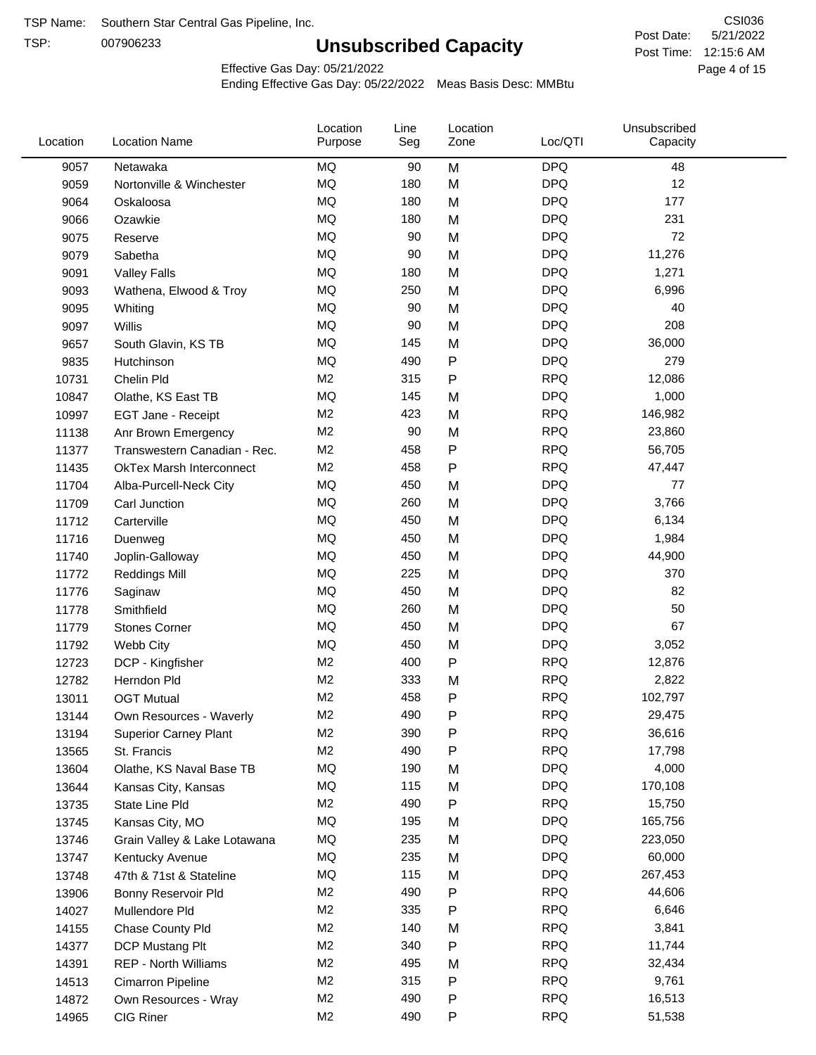TSP:

# **Unsubscribed Capacity**

5/21/2022 Page 4 of 15 Post Time: 12:15:6 AM CSI036 Post Date:

Effective Gas Day: 05/21/2022

| Location | <b>Location Name</b>            | Location<br>Purpose | Line<br>Seg | Location<br>Zone | Loc/QTI    | Unsubscribed<br>Capacity |  |
|----------|---------------------------------|---------------------|-------------|------------------|------------|--------------------------|--|
| 9057     | Netawaka                        | <b>MQ</b>           | 90          | M                | <b>DPQ</b> | 48                       |  |
| 9059     | Nortonville & Winchester        | <b>MQ</b>           | 180         | M                | <b>DPQ</b> | 12                       |  |
| 9064     | Oskaloosa                       | MQ                  | 180         | M                | <b>DPQ</b> | 177                      |  |
| 9066     | Ozawkie                         | <b>MQ</b>           | 180         | M                | <b>DPQ</b> | 231                      |  |
| 9075     | Reserve                         | MQ                  | 90          | M                | <b>DPQ</b> | 72                       |  |
| 9079     | Sabetha                         | MQ                  | 90          | M                | <b>DPQ</b> | 11,276                   |  |
| 9091     | <b>Valley Falls</b>             | MQ                  | 180         | M                | <b>DPQ</b> | 1,271                    |  |
| 9093     | Wathena, Elwood & Troy          | MQ                  | 250         | M                | <b>DPQ</b> | 6,996                    |  |
| 9095     | Whiting                         | MQ                  | 90          | M                | <b>DPQ</b> | 40                       |  |
| 9097     | Willis                          | <b>MQ</b>           | 90          | M                | <b>DPQ</b> | 208                      |  |
| 9657     | South Glavin, KS TB             | MQ                  | 145         | M                | <b>DPQ</b> | 36,000                   |  |
| 9835     | Hutchinson                      | MQ                  | 490         | ${\sf P}$        | <b>DPQ</b> | 279                      |  |
| 10731    | Chelin Pld                      | M <sub>2</sub>      | 315         | ${\sf P}$        | <b>RPQ</b> | 12,086                   |  |
| 10847    | Olathe, KS East TB              | <b>MQ</b>           | 145         | M                | <b>DPQ</b> | 1,000                    |  |
| 10997    | EGT Jane - Receipt              | M <sub>2</sub>      | 423         | M                | <b>RPQ</b> | 146,982                  |  |
| 11138    | Anr Brown Emergency             | M <sub>2</sub>      | 90          | M                | <b>RPQ</b> | 23,860                   |  |
| 11377    | Transwestern Canadian - Rec.    | M <sub>2</sub>      | 458         | ${\sf P}$        | <b>RPQ</b> | 56,705                   |  |
| 11435    | <b>OkTex Marsh Interconnect</b> | M <sub>2</sub>      | 458         | $\mathsf{P}$     | <b>RPQ</b> | 47,447                   |  |
| 11704    | Alba-Purcell-Neck City          | <b>MQ</b>           | 450         | M                | <b>DPQ</b> | 77                       |  |
| 11709    | Carl Junction                   | <b>MQ</b>           | 260         | M                | <b>DPQ</b> | 3,766                    |  |
| 11712    | Carterville                     | MQ                  | 450         | M                | <b>DPQ</b> | 6,134                    |  |
| 11716    | Duenweg                         | <b>MQ</b>           | 450         | M                | <b>DPQ</b> | 1,984                    |  |
| 11740    | Joplin-Galloway                 | MQ                  | 450         | M                | <b>DPQ</b> | 44,900                   |  |
| 11772    | <b>Reddings Mill</b>            | <b>MQ</b>           | 225         | M                | <b>DPQ</b> | 370                      |  |
| 11776    | Saginaw                         | <b>MQ</b>           | 450         | M                | <b>DPQ</b> | 82                       |  |
| 11778    | Smithfield                      | MQ                  | 260         | M                | <b>DPQ</b> | 50                       |  |
| 11779    | <b>Stones Corner</b>            | <b>MQ</b>           | 450         | M                | <b>DPQ</b> | 67                       |  |
| 11792    | Webb City                       | MQ                  | 450         | M                | <b>DPQ</b> | 3,052                    |  |
| 12723    | DCP - Kingfisher                | M <sub>2</sub>      | 400         | ${\sf P}$        | <b>RPQ</b> | 12,876                   |  |
| 12782    | Herndon Pld                     | M <sub>2</sub>      | 333         | M                | <b>RPQ</b> | 2,822                    |  |
| 13011    | <b>OGT Mutual</b>               | M <sub>2</sub>      | 458         | P                | <b>RPQ</b> | 102,797                  |  |
| 13144    | Own Resources - Waverly         | M <sub>2</sub>      | 490         | P                | <b>RPQ</b> | 29,475                   |  |
| 13194    | <b>Superior Carney Plant</b>    | M <sub>2</sub>      | 390         | P                | <b>RPQ</b> | 36,616                   |  |
| 13565    | St. Francis                     | M <sub>2</sub>      | 490         | P                | <b>RPQ</b> | 17,798                   |  |
| 13604    | Olathe, KS Naval Base TB        | MQ                  | 190         | M                | <b>DPQ</b> | 4,000                    |  |
| 13644    | Kansas City, Kansas             | MQ                  | 115         | M                | <b>DPQ</b> | 170,108                  |  |
| 13735    | State Line Pld                  | M <sub>2</sub>      | 490         | P                | <b>RPQ</b> | 15,750                   |  |
| 13745    | Kansas City, MO                 | MQ                  | 195         | M                | <b>DPQ</b> | 165,756                  |  |
| 13746    | Grain Valley & Lake Lotawana    | MQ                  | 235         | M                | <b>DPQ</b> | 223,050                  |  |
| 13747    | Kentucky Avenue                 | MQ                  | 235         | M                | <b>DPQ</b> | 60,000                   |  |
| 13748    | 47th & 71st & Stateline         | MQ                  | 115         | M                | <b>DPQ</b> | 267,453                  |  |
| 13906    | Bonny Reservoir Pld             | M <sub>2</sub>      | 490         | P                | <b>RPQ</b> | 44,606                   |  |
| 14027    | Mullendore Pld                  | M <sub>2</sub>      | 335         | P                | <b>RPQ</b> | 6,646                    |  |
| 14155    | Chase County Pld                | M <sub>2</sub>      | 140         | M                | <b>RPQ</b> | 3,841                    |  |
| 14377    | DCP Mustang Plt                 | M <sub>2</sub>      | 340         | P                | <b>RPQ</b> | 11,744                   |  |
| 14391    | <b>REP - North Williams</b>     | M <sub>2</sub>      | 495         | M                | <b>RPQ</b> | 32,434                   |  |
| 14513    | Cimarron Pipeline               | M <sub>2</sub>      | 315         | P                | <b>RPQ</b> | 9,761                    |  |
| 14872    | Own Resources - Wray            | M <sub>2</sub>      | 490         | P                | <b>RPQ</b> | 16,513                   |  |
| 14965    | CIG Riner                       | M <sub>2</sub>      | 490         | P                | <b>RPQ</b> | 51,538                   |  |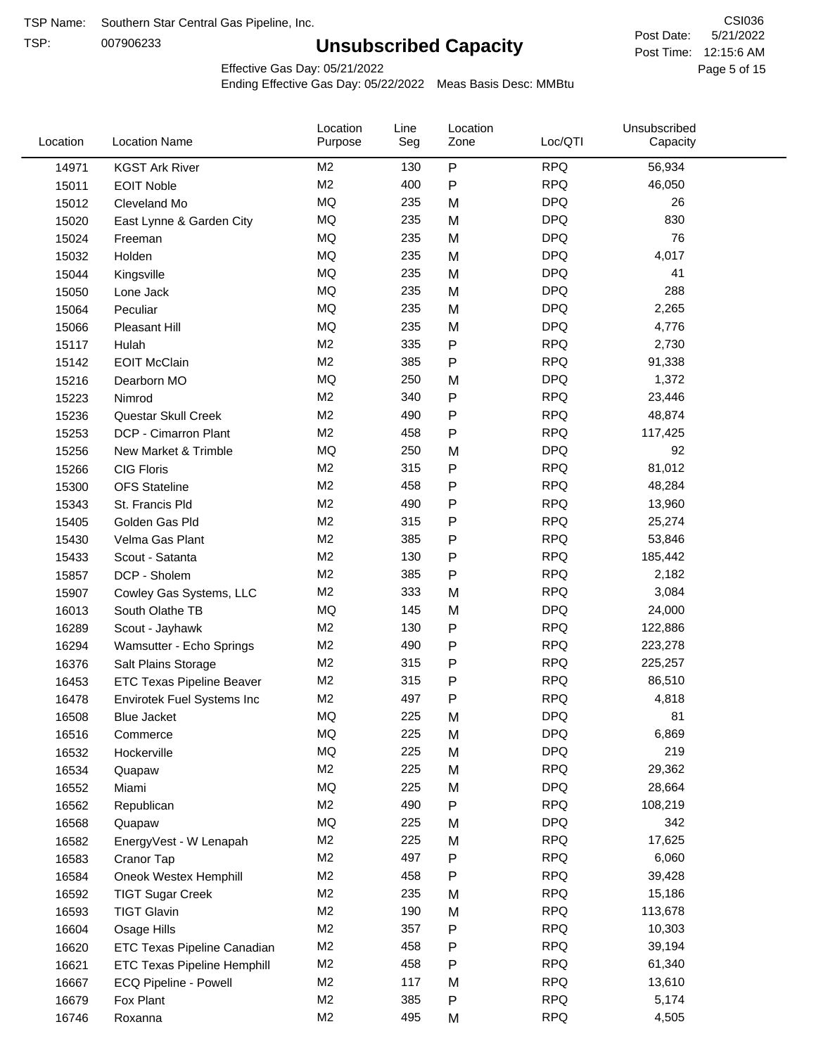TSP:

# **Unsubscribed Capacity**

5/21/2022 Page 5 of 15 Post Time: 12:15:6 AM CSI036 Post Date:

Effective Gas Day: 05/21/2022

| Location | <b>Location Name</b>               | Location<br>Purpose | Line<br>Seg | Location<br>Zone | Loc/QTI    | Unsubscribed<br>Capacity |  |
|----------|------------------------------------|---------------------|-------------|------------------|------------|--------------------------|--|
| 14971    | <b>KGST Ark River</b>              | M <sub>2</sub>      | 130         | P                | <b>RPQ</b> | 56,934                   |  |
| 15011    | <b>EOIT Noble</b>                  | M <sub>2</sub>      | 400         | P                | <b>RPQ</b> | 46,050                   |  |
| 15012    | Cleveland Mo                       | <b>MQ</b>           | 235         | M                | <b>DPQ</b> | 26                       |  |
| 15020    | East Lynne & Garden City           | <b>MQ</b>           | 235         | M                | <b>DPQ</b> | 830                      |  |
| 15024    | Freeman                            | <b>MQ</b>           | 235         | M                | <b>DPQ</b> | 76                       |  |
| 15032    | Holden                             | <b>MQ</b>           | 235         | M                | <b>DPQ</b> | 4,017                    |  |
| 15044    | Kingsville                         | <b>MQ</b>           | 235         | M                | <b>DPQ</b> | 41                       |  |
| 15050    | Lone Jack                          | <b>MQ</b>           | 235         | M                | <b>DPQ</b> | 288                      |  |
| 15064    | Peculiar                           | <b>MQ</b>           | 235         | M                | <b>DPQ</b> | 2,265                    |  |
| 15066    | Pleasant Hill                      | <b>MQ</b>           | 235         | M                | <b>DPQ</b> | 4,776                    |  |
| 15117    | Hulah                              | M <sub>2</sub>      | 335         | P                | <b>RPQ</b> | 2,730                    |  |
| 15142    | <b>EOIT McClain</b>                | M <sub>2</sub>      | 385         | P                | <b>RPQ</b> | 91,338                   |  |
| 15216    | Dearborn MO                        | MQ                  | 250         | M                | <b>DPQ</b> | 1,372                    |  |
| 15223    | Nimrod                             | M <sub>2</sub>      | 340         | P                | <b>RPQ</b> | 23,446                   |  |
| 15236    | Questar Skull Creek                | M <sub>2</sub>      | 490         | P                | <b>RPQ</b> | 48,874                   |  |
| 15253    | DCP - Cimarron Plant               | M <sub>2</sub>      | 458         | Ρ                | <b>RPQ</b> | 117,425                  |  |
| 15256    | New Market & Trimble               | <b>MQ</b>           | 250         | M                | <b>DPQ</b> | 92                       |  |
| 15266    | <b>CIG Floris</b>                  | M <sub>2</sub>      | 315         | Ρ                | <b>RPQ</b> | 81,012                   |  |
| 15300    | <b>OFS Stateline</b>               | M <sub>2</sub>      | 458         | P                | <b>RPQ</b> | 48,284                   |  |
| 15343    | St. Francis Pld                    | M <sub>2</sub>      | 490         | P                | <b>RPQ</b> | 13,960                   |  |
| 15405    | Golden Gas Pld                     | M <sub>2</sub>      | 315         | P                | <b>RPQ</b> | 25,274                   |  |
| 15430    | Velma Gas Plant                    | M <sub>2</sub>      | 385         | Ρ                | <b>RPQ</b> | 53,846                   |  |
| 15433    | Scout - Satanta                    | M <sub>2</sub>      | 130         | P                | <b>RPQ</b> | 185,442                  |  |
| 15857    | DCP - Sholem                       | M <sub>2</sub>      | 385         | P                | <b>RPQ</b> | 2,182                    |  |
| 15907    | Cowley Gas Systems, LLC            | M <sub>2</sub>      | 333         | M                | <b>RPQ</b> | 3,084                    |  |
| 16013    | South Olathe TB                    | MQ                  | 145         | M                | <b>DPQ</b> | 24,000                   |  |
| 16289    | Scout - Jayhawk                    | M <sub>2</sub>      | 130         | Ρ                | <b>RPQ</b> | 122,886                  |  |
| 16294    | Wamsutter - Echo Springs           | M <sub>2</sub>      | 490         | P                | <b>RPQ</b> | 223,278                  |  |
| 16376    | Salt Plains Storage                | M <sub>2</sub>      | 315         | P                | <b>RPQ</b> | 225,257                  |  |
| 16453    | <b>ETC Texas Pipeline Beaver</b>   | M <sub>2</sub>      | 315         | Ρ                | <b>RPQ</b> | 86,510                   |  |
| 16478    | Envirotek Fuel Systems Inc         | M <sub>2</sub>      | 497         | Ρ                | <b>RPQ</b> | 4,818                    |  |
| 16508    | <b>Blue Jacket</b>                 | <b>MQ</b>           | 225         | M                | <b>DPQ</b> | 81                       |  |
| 16516    | Commerce                           | MQ                  | 225         | M                | <b>DPQ</b> | 6,869                    |  |
| 16532    | Hockerville                        | <b>MQ</b>           | 225         | M                | <b>DPQ</b> | 219                      |  |
| 16534    | Quapaw                             | M <sub>2</sub>      | 225         | M                | <b>RPQ</b> | 29,362                   |  |
| 16552    | Miami                              | MQ                  | 225         | M                | <b>DPQ</b> | 28,664                   |  |
| 16562    | Republican                         | M <sub>2</sub>      | 490         | P                | <b>RPQ</b> | 108,219                  |  |
| 16568    | Quapaw                             | <b>MQ</b>           | 225         | M                | <b>DPQ</b> | 342                      |  |
| 16582    | EnergyVest - W Lenapah             | M <sub>2</sub>      | 225         | M                | <b>RPQ</b> | 17,625                   |  |
| 16583    | Cranor Tap                         | M <sub>2</sub>      | 497         | Ρ                | <b>RPQ</b> | 6,060                    |  |
| 16584    | Oneok Westex Hemphill              | M <sub>2</sub>      | 458         | Ρ                | <b>RPQ</b> | 39,428                   |  |
| 16592    | <b>TIGT Sugar Creek</b>            | M <sub>2</sub>      | 235         | M                | <b>RPQ</b> | 15,186                   |  |
| 16593    | <b>TIGT Glavin</b>                 | M <sub>2</sub>      | 190         | M                | <b>RPQ</b> | 113,678                  |  |
| 16604    | Osage Hills                        | M <sub>2</sub>      | 357         | Ρ                | <b>RPQ</b> | 10,303                   |  |
| 16620    | <b>ETC Texas Pipeline Canadian</b> | M <sub>2</sub>      | 458         | Ρ                | <b>RPQ</b> | 39,194                   |  |
| 16621    | <b>ETC Texas Pipeline Hemphill</b> | M <sub>2</sub>      | 458         | Ρ                | <b>RPQ</b> | 61,340                   |  |
| 16667    | ECQ Pipeline - Powell              | M <sub>2</sub>      | 117         | M                | <b>RPQ</b> | 13,610                   |  |
| 16679    | Fox Plant                          | M <sub>2</sub>      | 385         | Ρ                | <b>RPQ</b> | 5,174                    |  |
| 16746    | Roxanna                            | M <sub>2</sub>      | 495         | M                | <b>RPQ</b> | 4,505                    |  |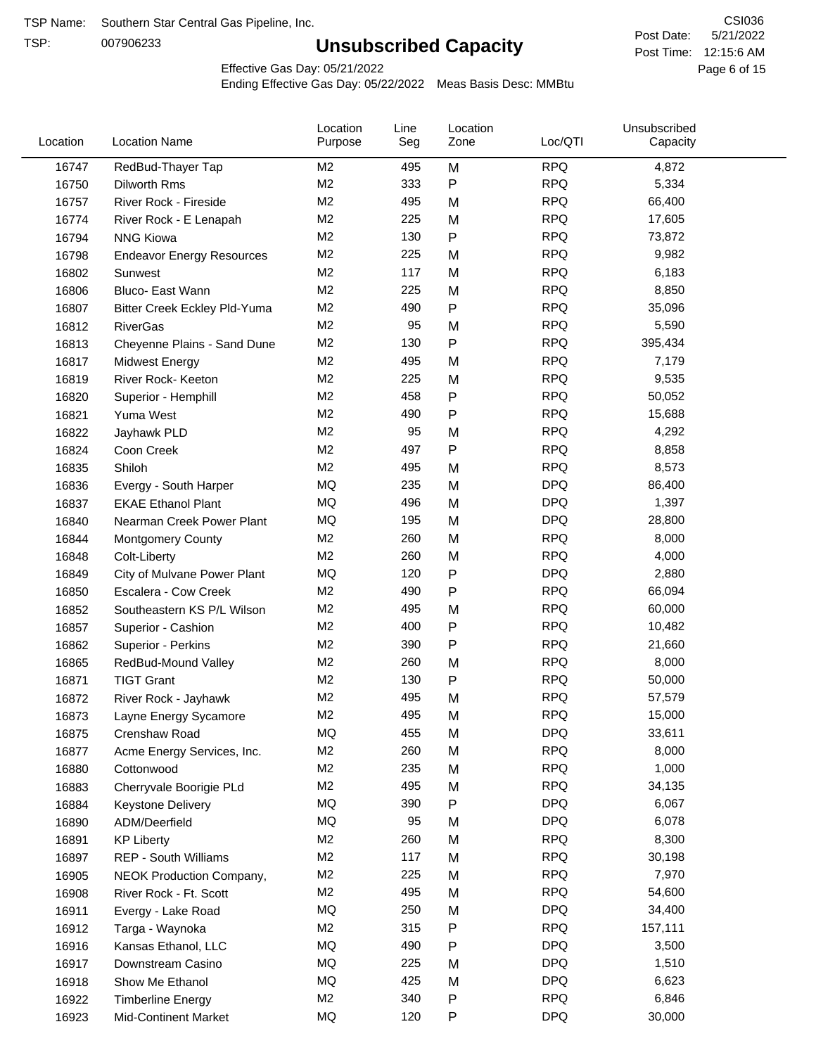TSP:

# **Unsubscribed Capacity**

5/21/2022 Page 6 of 15 Post Time: 12:15:6 AM CSI036 Post Date:

Effective Gas Day: 05/21/2022

| Location | <b>Location Name</b>                | Location<br>Purpose | Line<br>Seg | Location<br>Zone | Loc/QTI    | Unsubscribed<br>Capacity |  |
|----------|-------------------------------------|---------------------|-------------|------------------|------------|--------------------------|--|
| 16747    | RedBud-Thayer Tap                   | M <sub>2</sub>      | 495         | M                | <b>RPQ</b> | 4,872                    |  |
| 16750    | Dilworth Rms                        | M2                  | 333         | P                | <b>RPQ</b> | 5,334                    |  |
| 16757    | River Rock - Fireside               | M <sub>2</sub>      | 495         | M                | <b>RPQ</b> | 66,400                   |  |
| 16774    | River Rock - E Lenapah              | M <sub>2</sub>      | 225         | M                | <b>RPQ</b> | 17,605                   |  |
| 16794    | <b>NNG Kiowa</b>                    | M <sub>2</sub>      | 130         | P                | <b>RPQ</b> | 73,872                   |  |
| 16798    | <b>Endeavor Energy Resources</b>    | M <sub>2</sub>      | 225         | M                | <b>RPQ</b> | 9,982                    |  |
| 16802    | Sunwest                             | M <sub>2</sub>      | 117         | M                | <b>RPQ</b> | 6,183                    |  |
| 16806    | Bluco- East Wann                    | M2                  | 225         | M                | <b>RPQ</b> | 8,850                    |  |
| 16807    | <b>Bitter Creek Eckley Pld-Yuma</b> | M2                  | 490         | P                | <b>RPQ</b> | 35,096                   |  |
| 16812    | <b>RiverGas</b>                     | M <sub>2</sub>      | 95          | M                | <b>RPQ</b> | 5,590                    |  |
| 16813    | Cheyenne Plains - Sand Dune         | M <sub>2</sub>      | 130         | P                | <b>RPQ</b> | 395,434                  |  |
| 16817    | <b>Midwest Energy</b>               | M <sub>2</sub>      | 495         | M                | <b>RPQ</b> | 7,179                    |  |
| 16819    | River Rock- Keeton                  | M <sub>2</sub>      | 225         | M                | <b>RPQ</b> | 9,535                    |  |
| 16820    | Superior - Hemphill                 | M <sub>2</sub>      | 458         | Ρ                | <b>RPQ</b> | 50,052                   |  |
| 16821    | Yuma West                           | M <sub>2</sub>      | 490         | P                | <b>RPQ</b> | 15,688                   |  |
| 16822    | Jayhawk PLD                         | M <sub>2</sub>      | 95          | M                | <b>RPQ</b> | 4,292                    |  |
| 16824    | Coon Creek                          | M <sub>2</sub>      | 497         | P                | <b>RPQ</b> | 8,858                    |  |
| 16835    | Shiloh                              | M2                  | 495         | M                | <b>RPQ</b> | 8,573                    |  |
| 16836    | Evergy - South Harper               | MQ                  | 235         | M                | <b>DPQ</b> | 86,400                   |  |
| 16837    | <b>EKAE Ethanol Plant</b>           | MQ                  | 496         | M                | <b>DPQ</b> | 1,397                    |  |
| 16840    | Nearman Creek Power Plant           | MQ                  | 195         | M                | <b>DPQ</b> | 28,800                   |  |
| 16844    | <b>Montgomery County</b>            | M <sub>2</sub>      | 260         | M                | <b>RPQ</b> | 8,000                    |  |
| 16848    | Colt-Liberty                        | M2                  | 260         | M                | <b>RPQ</b> | 4,000                    |  |
| 16849    | City of Mulvane Power Plant         | <b>MQ</b>           | 120         | P                | <b>DPQ</b> | 2,880                    |  |
| 16850    | Escalera - Cow Creek                | M <sub>2</sub>      | 490         | P                | <b>RPQ</b> | 66,094                   |  |
| 16852    | Southeastern KS P/L Wilson          | M <sub>2</sub>      | 495         | M                | <b>RPQ</b> | 60,000                   |  |
| 16857    | Superior - Cashion                  | M <sub>2</sub>      | 400         | P                | <b>RPQ</b> | 10,482                   |  |
| 16862    | Superior - Perkins                  | M2                  | 390         | P                | <b>RPQ</b> | 21,660                   |  |
| 16865    | RedBud-Mound Valley                 | M <sub>2</sub>      | 260         | M                | <b>RPQ</b> | 8,000                    |  |
| 16871    | <b>TIGT Grant</b>                   | M <sub>2</sub>      | 130         | Ρ                | <b>RPQ</b> | 50,000                   |  |
| 16872    | River Rock - Jayhawk                | M <sub>2</sub>      | 495         | M                | <b>RPQ</b> | 57,579                   |  |
| 16873    | Layne Energy Sycamore               | M <sub>2</sub>      | 495         | M                | <b>RPQ</b> | 15,000                   |  |
| 16875    | Crenshaw Road                       | MQ                  | 455         | M                | <b>DPQ</b> | 33,611                   |  |
| 16877    | Acme Energy Services, Inc.          | M <sub>2</sub>      | 260         | M                | <b>RPQ</b> | 8,000                    |  |
| 16880    | Cottonwood                          | M <sub>2</sub>      | 235         | M                | <b>RPQ</b> | 1,000                    |  |
| 16883    | Cherryvale Boorigie PLd             | M <sub>2</sub>      | 495         | M                | <b>RPQ</b> | 34,135                   |  |
| 16884    | <b>Keystone Delivery</b>            | MQ                  | 390         | P                | <b>DPQ</b> | 6,067                    |  |
| 16890    | ADM/Deerfield                       | MQ                  | 95          | M                | <b>DPQ</b> | 6,078                    |  |
| 16891    | <b>KP Liberty</b>                   | M <sub>2</sub>      | 260         | M                | <b>RPQ</b> | 8,300                    |  |
| 16897    | <b>REP - South Williams</b>         | M <sub>2</sub>      | 117         | M                | <b>RPQ</b> | 30,198                   |  |
| 16905    | NEOK Production Company,            | M2                  | 225         | M                | <b>RPQ</b> | 7,970                    |  |
| 16908    | River Rock - Ft. Scott              | M <sub>2</sub>      | 495         | M                | <b>RPQ</b> | 54,600                   |  |
| 16911    | Evergy - Lake Road                  | MQ                  | 250         | M                | <b>DPQ</b> | 34,400                   |  |
| 16912    | Targa - Waynoka                     | M <sub>2</sub>      | 315         | P                | <b>RPQ</b> | 157,111                  |  |
| 16916    | Kansas Ethanol, LLC                 | MQ                  | 490         | Ρ                | <b>DPQ</b> | 3,500                    |  |
| 16917    | Downstream Casino                   | MQ                  | 225         | M                | <b>DPQ</b> | 1,510                    |  |
| 16918    | Show Me Ethanol                     | MQ                  | 425         | M                | <b>DPQ</b> | 6,623                    |  |
| 16922    | <b>Timberline Energy</b>            | M <sub>2</sub>      | 340         | P                | <b>RPQ</b> | 6,846                    |  |
| 16923    | <b>Mid-Continent Market</b>         | MQ                  | 120         | P                | <b>DPQ</b> | 30,000                   |  |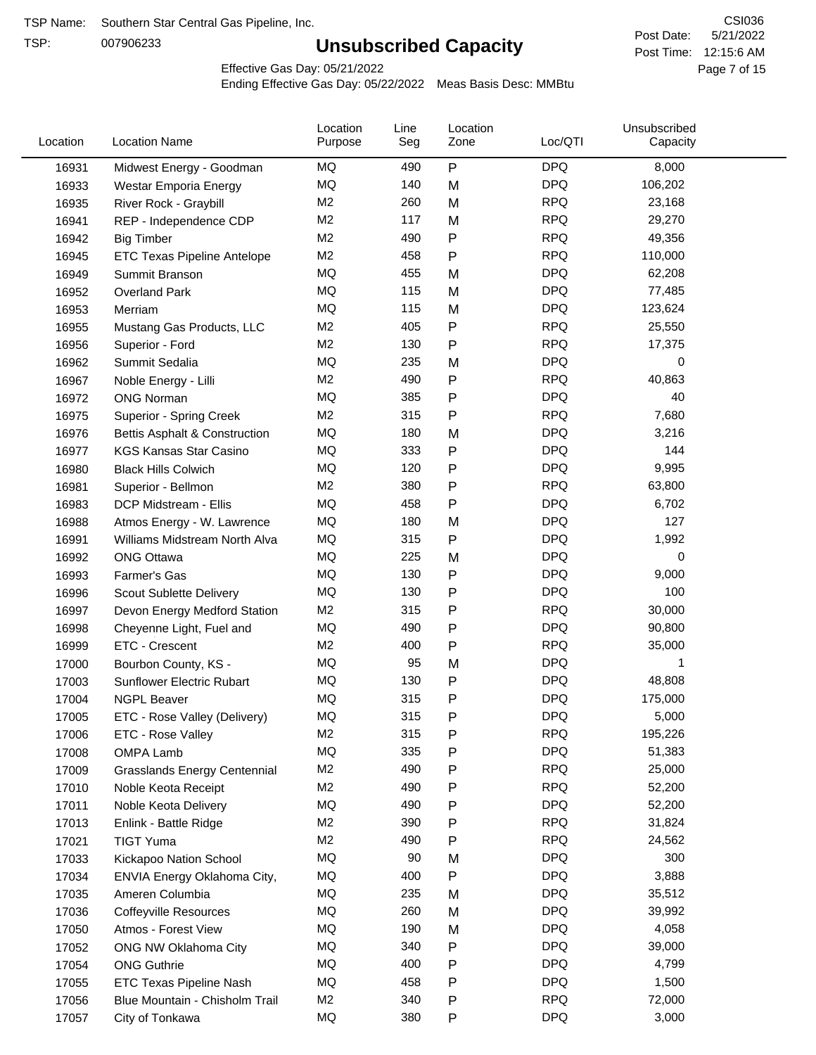TSP:

# **Unsubscribed Capacity**

5/21/2022 Page 7 of 15 Post Time: 12:15:6 AM CSI036 Post Date:

Effective Gas Day: 05/21/2022

| Location | <b>Location Name</b>                     | Location<br>Purpose | Line<br>Seg | Location<br>Zone | Loc/QTI                  | Unsubscribed<br>Capacity |  |
|----------|------------------------------------------|---------------------|-------------|------------------|--------------------------|--------------------------|--|
| 16931    | Midwest Energy - Goodman                 | MQ                  | 490         | ${\sf P}$        | <b>DPQ</b>               | 8,000                    |  |
| 16933    | Westar Emporia Energy                    | MQ                  | 140         | M                | <b>DPQ</b>               | 106,202                  |  |
| 16935    | River Rock - Graybill                    | M <sub>2</sub>      | 260         | M                | <b>RPQ</b>               | 23,168                   |  |
| 16941    | REP - Independence CDP                   | M <sub>2</sub>      | 117         | M                | <b>RPQ</b>               | 29,270                   |  |
| 16942    | <b>Big Timber</b>                        | M <sub>2</sub>      | 490         | P                | <b>RPQ</b>               | 49,356                   |  |
| 16945    | ETC Texas Pipeline Antelope              | M <sub>2</sub>      | 458         | $\mathsf{P}$     | <b>RPQ</b>               | 110,000                  |  |
| 16949    | Summit Branson                           | MQ                  | 455         | M                | <b>DPQ</b>               | 62,208                   |  |
| 16952    | <b>Overland Park</b>                     | MQ                  | 115         | M                | <b>DPQ</b>               | 77,485                   |  |
| 16953    | Merriam                                  | MQ                  | 115         | M                | <b>DPQ</b>               | 123,624                  |  |
| 16955    | Mustang Gas Products, LLC                | M <sub>2</sub>      | 405         | P                | <b>RPQ</b>               | 25,550                   |  |
| 16956    | Superior - Ford                          | M <sub>2</sub>      | 130         | $\mathsf{P}$     | <b>RPQ</b>               | 17,375                   |  |
| 16962    | Summit Sedalia                           | MQ                  | 235         | M                | <b>DPQ</b>               | 0                        |  |
| 16967    | Noble Energy - Lilli                     | M <sub>2</sub>      | 490         | P                | <b>RPQ</b>               | 40,863                   |  |
| 16972    | <b>ONG Norman</b>                        | MQ                  | 385         | P                | <b>DPQ</b>               | 40                       |  |
| 16975    | Superior - Spring Creek                  | M <sub>2</sub>      | 315         | P                | <b>RPQ</b>               | 7,680                    |  |
| 16976    | <b>Bettis Asphalt &amp; Construction</b> | MQ                  | 180         | M                | <b>DPQ</b>               | 3,216                    |  |
| 16977    | <b>KGS Kansas Star Casino</b>            | MQ                  | 333         | P                | <b>DPQ</b>               | 144                      |  |
| 16980    | <b>Black Hills Colwich</b>               | MQ                  | 120         | P                | <b>DPQ</b>               | 9,995                    |  |
| 16981    | Superior - Bellmon                       | M <sub>2</sub>      | 380         | P                | <b>RPQ</b>               | 63,800                   |  |
| 16983    | DCP Midstream - Ellis                    | MQ                  | 458         | P                | <b>DPQ</b>               | 6,702                    |  |
| 16988    | Atmos Energy - W. Lawrence               | MQ                  | 180         | M                | <b>DPQ</b>               | 127                      |  |
| 16991    | Williams Midstream North Alva            | MQ                  | 315         | $\mathsf{P}$     | <b>DPQ</b>               | 1,992                    |  |
| 16992    | <b>ONG Ottawa</b>                        | MQ                  | 225         | M                | <b>DPQ</b>               | 0                        |  |
| 16993    | Farmer's Gas                             | MQ                  | 130         | P                | <b>DPQ</b>               | 9,000                    |  |
|          |                                          | MQ                  | 130         | P                | <b>DPQ</b>               | 100                      |  |
| 16996    | Scout Sublette Delivery                  | M <sub>2</sub>      | 315         |                  | <b>RPQ</b>               | 30,000                   |  |
| 16997    | Devon Energy Medford Station             | MQ                  | 490         | P                | <b>DPQ</b>               | 90,800                   |  |
| 16998    | Cheyenne Light, Fuel and                 | M <sub>2</sub>      |             | P                | <b>RPQ</b>               |                          |  |
| 16999    | ETC - Crescent                           | MQ                  | 400<br>95   | P                | <b>DPQ</b>               | 35,000                   |  |
| 17000    | Bourbon County, KS -                     | MQ                  |             | M                | <b>DPQ</b>               | 1                        |  |
| 17003    | <b>Sunflower Electric Rubart</b>         |                     | 130         | Ρ                | <b>DPQ</b>               | 48,808<br>175,000        |  |
| 17004    | <b>NGPL Beaver</b>                       | MQ                  | 315         | Ρ                |                          |                          |  |
| 17005    | ETC - Rose Valley (Delivery)             | <b>MQ</b>           | 315         | P                | <b>DPQ</b>               | 5,000                    |  |
| 17006    | ETC - Rose Valley                        | M <sub>2</sub>      | 315         | P                | <b>RPQ</b>               | 195,226                  |  |
| 17008    | <b>OMPA Lamb</b>                         | MQ                  | 335         | P                | <b>DPQ</b>               | 51,383                   |  |
| 17009    | <b>Grasslands Energy Centennial</b>      | M <sub>2</sub>      | 490         | P                | <b>RPQ</b><br><b>RPQ</b> | 25,000                   |  |
| 17010    | Noble Keota Receipt                      | M <sub>2</sub>      | 490         | P                |                          | 52,200                   |  |
| 17011    | Noble Keota Delivery                     | MQ                  | 490         | P                | <b>DPQ</b>               | 52,200                   |  |
| 17013    | Enlink - Battle Ridge                    | M <sub>2</sub>      | 390         | P                | <b>RPQ</b>               | 31,824                   |  |
| 17021    | <b>TIGT Yuma</b>                         | M <sub>2</sub>      | 490         | Ρ                | <b>RPQ</b>               | 24,562                   |  |
| 17033    | Kickapoo Nation School                   | MQ                  | 90          | M                | <b>DPQ</b>               | 300                      |  |
| 17034    | ENVIA Energy Oklahoma City,              | MQ                  | 400         | P                | <b>DPQ</b>               | 3,888                    |  |
| 17035    | Ameren Columbia                          | MQ                  | 235         | M                | <b>DPQ</b>               | 35,512                   |  |
| 17036    | <b>Coffeyville Resources</b>             | MQ                  | 260         | M                | <b>DPQ</b>               | 39,992                   |  |
| 17050    | Atmos - Forest View                      | MQ                  | 190         | M                | <b>DPQ</b>               | 4,058                    |  |
| 17052    | ONG NW Oklahoma City                     | MQ                  | 340         | ${\sf P}$        | <b>DPQ</b>               | 39,000                   |  |
| 17054    | <b>ONG Guthrie</b>                       | MQ                  | 400         | P                | <b>DPQ</b>               | 4,799                    |  |
| 17055    | ETC Texas Pipeline Nash                  | MQ                  | 458         | P                | <b>DPQ</b>               | 1,500                    |  |
| 17056    | Blue Mountain - Chisholm Trail           | M <sub>2</sub>      | 340         | P                | <b>RPQ</b>               | 72,000                   |  |
| 17057    | City of Tonkawa                          | MQ                  | 380         | P                | <b>DPQ</b>               | 3,000                    |  |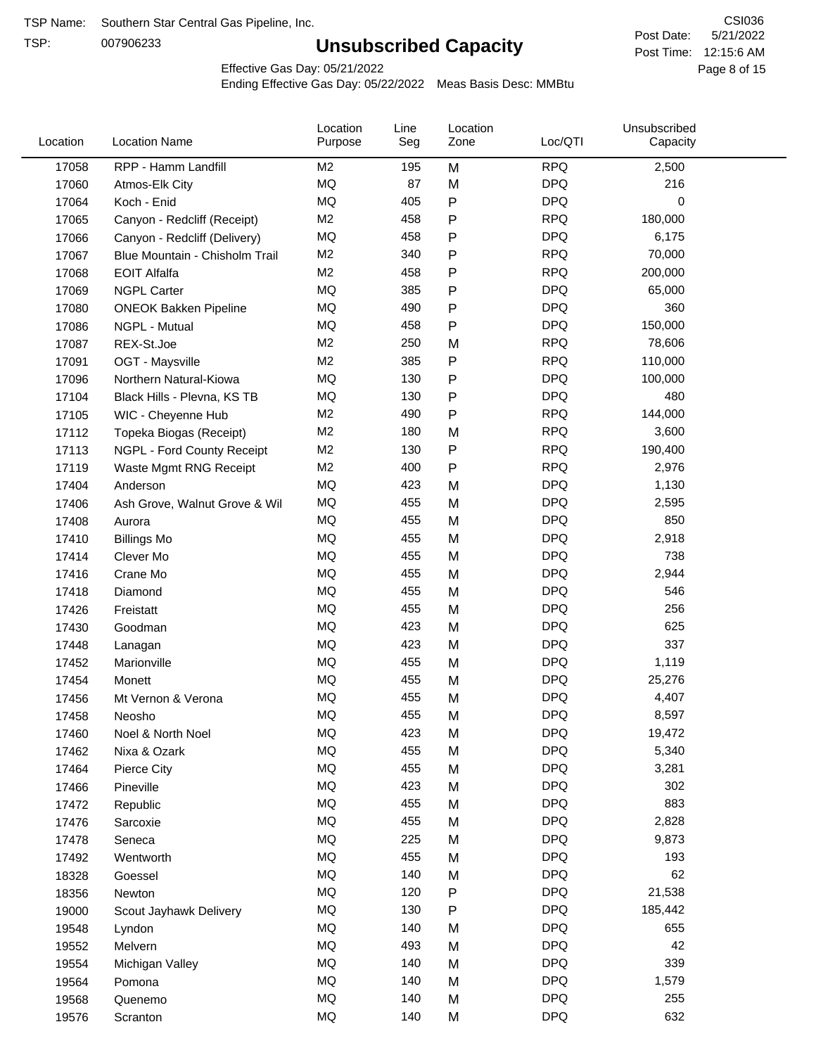TSP:

# **Unsubscribed Capacity**

5/21/2022 Page 8 of 15 Post Time: 12:15:6 AM CSI036 Post Date:

Effective Gas Day: 05/21/2022

| Location | <b>Location Name</b>           | Location<br>Purpose | Line<br>Seg | Location<br>Zone | Loc/QTI    | Unsubscribed<br>Capacity |  |
|----------|--------------------------------|---------------------|-------------|------------------|------------|--------------------------|--|
| 17058    | RPP - Hamm Landfill            | M <sub>2</sub>      | 195         | M                | <b>RPQ</b> | 2,500                    |  |
| 17060    | Atmos-Elk City                 | MQ                  | 87          | M                | <b>DPQ</b> | 216                      |  |
| 17064    | Koch - Enid                    | MQ                  | 405         | P                | <b>DPQ</b> | 0                        |  |
| 17065    | Canyon - Redcliff (Receipt)    | M <sub>2</sub>      | 458         | P                | <b>RPQ</b> | 180,000                  |  |
| 17066    | Canyon - Redcliff (Delivery)   | <b>MQ</b>           | 458         | Ρ                | <b>DPQ</b> | 6,175                    |  |
| 17067    | Blue Mountain - Chisholm Trail | M <sub>2</sub>      | 340         | P                | <b>RPQ</b> | 70,000                   |  |
| 17068    | <b>EOIT Alfalfa</b>            | M <sub>2</sub>      | 458         | P                | <b>RPQ</b> | 200,000                  |  |
| 17069    | <b>NGPL Carter</b>             | <b>MQ</b>           | 385         | P                | <b>DPQ</b> | 65,000                   |  |
| 17080    | <b>ONEOK Bakken Pipeline</b>   | MQ                  | 490         | Ρ                | <b>DPQ</b> | 360                      |  |
| 17086    | NGPL - Mutual                  | <b>MQ</b>           | 458         | Ρ                | <b>DPQ</b> | 150,000                  |  |
| 17087    | REX-St.Joe                     | M <sub>2</sub>      | 250         | M                | <b>RPQ</b> | 78,606                   |  |
| 17091    | OGT - Maysville                | M <sub>2</sub>      | 385         | Ρ                | <b>RPQ</b> | 110,000                  |  |
| 17096    | Northern Natural-Kiowa         | <b>MQ</b>           | 130         | P                | <b>DPQ</b> | 100,000                  |  |
| 17104    | Black Hills - Plevna, KS TB    | <b>MQ</b>           | 130         | Ρ                | <b>DPQ</b> | 480                      |  |
| 17105    | WIC - Cheyenne Hub             | M <sub>2</sub>      | 490         | P                | <b>RPQ</b> | 144,000                  |  |
| 17112    | Topeka Biogas (Receipt)        | M <sub>2</sub>      | 180         | M                | <b>RPQ</b> | 3,600                    |  |
| 17113    | NGPL - Ford County Receipt     | M <sub>2</sub>      | 130         | Ρ                | <b>RPQ</b> | 190,400                  |  |
| 17119    | Waste Mgmt RNG Receipt         | M <sub>2</sub>      | 400         | $\mathsf{P}$     | <b>RPQ</b> | 2,976                    |  |
| 17404    | Anderson                       | <b>MQ</b>           | 423         | M                | <b>DPQ</b> | 1,130                    |  |
| 17406    | Ash Grove, Walnut Grove & Wil  | <b>MQ</b>           | 455         | M                | <b>DPQ</b> | 2,595                    |  |
| 17408    | Aurora                         | <b>MQ</b>           | 455         | M                | <b>DPQ</b> | 850                      |  |
| 17410    | <b>Billings Mo</b>             | <b>MQ</b>           | 455         | M                | <b>DPQ</b> | 2,918                    |  |
| 17414    | Clever Mo                      | <b>MQ</b>           | 455         | M                | <b>DPQ</b> | 738                      |  |
| 17416    | Crane Mo                       | <b>MQ</b>           | 455         | M                | <b>DPQ</b> | 2,944                    |  |
| 17418    | Diamond                        | <b>MQ</b>           | 455         | M                | <b>DPQ</b> | 546                      |  |
| 17426    | Freistatt                      | <b>MQ</b>           | 455         | M                | <b>DPQ</b> | 256                      |  |
| 17430    | Goodman                        | <b>MQ</b>           | 423         | M                | <b>DPQ</b> | 625                      |  |
| 17448    | Lanagan                        | <b>MQ</b>           | 423         | M                | <b>DPQ</b> | 337                      |  |
| 17452    | Marionville                    | <b>MQ</b>           | 455         | M                | <b>DPQ</b> | 1,119                    |  |
| 17454    | Monett                         | <b>MQ</b>           | 455         | M                | <b>DPQ</b> | 25,276                   |  |
| 17456    | Mt Vernon & Verona             | <b>MQ</b>           | 455         | M                | <b>DPQ</b> | 4,407                    |  |
| 17458    | Neosho                         | MQ                  | 455         | M                | <b>DPQ</b> | 8,597                    |  |
| 17460    | Noel & North Noel              | MQ                  | 423         | M                | <b>DPQ</b> | 19,472                   |  |
| 17462    | Nixa & Ozark                   | MQ                  | 455         | M                | <b>DPQ</b> | 5,340                    |  |
| 17464    | Pierce City                    | MQ                  | 455         | M                | <b>DPQ</b> | 3,281                    |  |
| 17466    | Pineville                      | <b>MQ</b>           | 423         | M                | <b>DPQ</b> | 302                      |  |
| 17472    | Republic                       | <b>MQ</b>           | 455         | M                | <b>DPQ</b> | 883                      |  |
| 17476    | Sarcoxie                       | <b>MQ</b>           | 455         | M                | <b>DPQ</b> | 2,828                    |  |
| 17478    | Seneca                         | <b>MQ</b>           | 225         | M                | <b>DPQ</b> | 9,873                    |  |
| 17492    | Wentworth                      | <b>MQ</b>           | 455         | M                | <b>DPQ</b> | 193                      |  |
| 18328    | Goessel                        | MQ                  | 140         | M                | <b>DPQ</b> | 62                       |  |
| 18356    | Newton                         | MQ                  | 120         | Ρ                | <b>DPQ</b> | 21,538                   |  |
| 19000    | Scout Jayhawk Delivery         | $\sf{MQ}$           | 130         | Ρ                | <b>DPQ</b> | 185,442                  |  |
| 19548    | Lyndon                         | <b>MQ</b>           | 140         | M                | <b>DPQ</b> | 655                      |  |
| 19552    | Melvern                        | MQ                  | 493         | M                | <b>DPQ</b> | 42                       |  |
| 19554    | Michigan Valley                | <b>MQ</b>           | 140         | M                | <b>DPQ</b> | 339                      |  |
| 19564    | Pomona                         | <b>MQ</b>           | 140         | M                | <b>DPQ</b> | 1,579                    |  |
| 19568    | Quenemo                        | <b>MQ</b>           | 140         | M                | <b>DPQ</b> | 255                      |  |
| 19576    | Scranton                       | MQ                  | 140         | M                | <b>DPQ</b> | 632                      |  |
|          |                                |                     |             |                  |            |                          |  |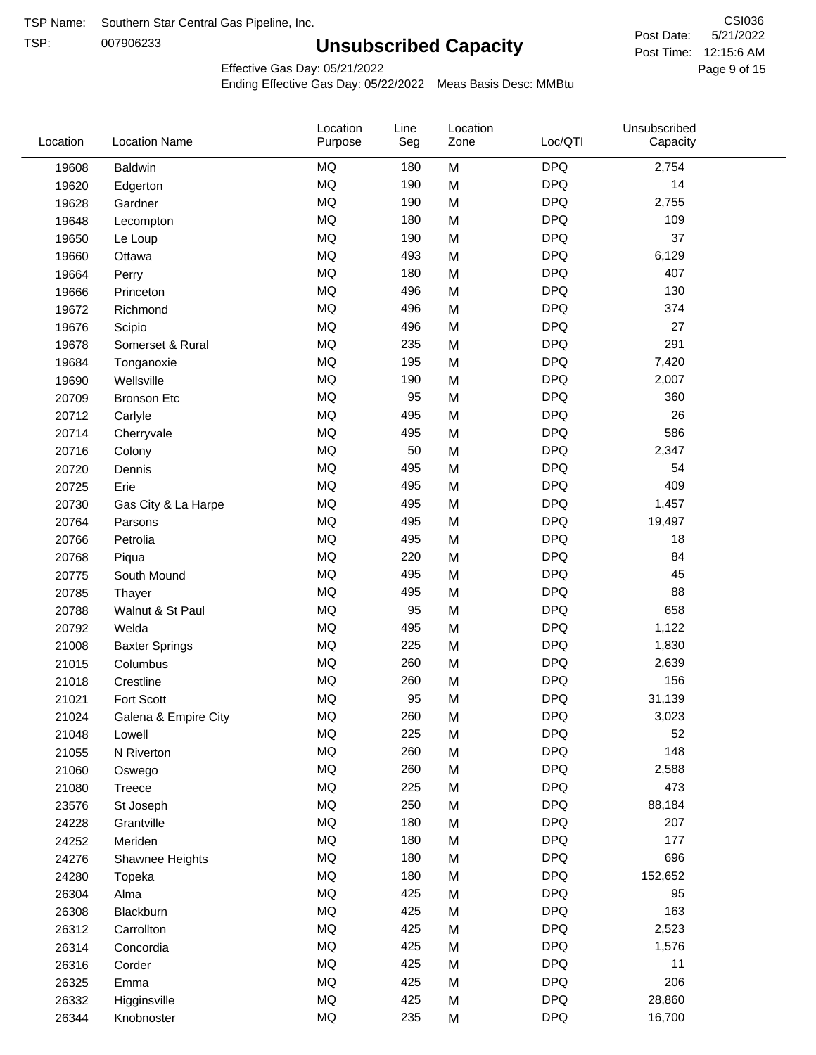TSP:

# **Unsubscribed Capacity**

5/21/2022 Page 9 of 15 Post Time: 12:15:6 AM CSI036 Post Date:

Effective Gas Day: 05/21/2022

| <b>DPQ</b><br>MQ<br>2,754<br>180<br>M<br>19608<br><b>Baldwin</b><br>MQ<br><b>DPQ</b><br>190<br>14<br>M<br>19620<br>Edgerton<br><b>MQ</b><br>190<br><b>DPQ</b><br>2,755<br>M<br>19628<br>Gardner<br><b>MQ</b><br><b>DPQ</b><br>109<br>180<br>19648<br>M<br>Lecompton<br><b>DPQ</b><br>MQ<br>M<br>37<br>190<br>19650<br>Le Loup<br>MQ<br><b>DPQ</b><br>493<br>6,129<br>19660<br>M<br>Ottawa<br><b>MQ</b><br><b>DPQ</b><br>407<br>180<br>M<br>19664<br>Perry<br>MQ<br><b>DPQ</b><br>130<br>496<br>19666<br>M<br>Princeton<br><b>DPQ</b><br>MQ<br>374<br>19672<br>496<br>M<br>Richmond<br>MQ<br><b>DPQ</b><br>27<br>496<br>M<br>19676<br>Scipio<br>MQ<br><b>DPQ</b><br>291<br>235<br>19678<br>M<br>Somerset & Rural<br><b>MQ</b><br><b>DPQ</b><br>195<br>M<br>7,420<br>19684<br>Tonganoxie<br><b>MQ</b><br><b>DPQ</b><br>190<br>2,007<br>19690<br>Wellsville<br>M<br><b>DPQ</b><br><b>MQ</b><br>95<br>M<br>360<br>20709<br><b>Bronson Etc</b><br><b>MQ</b><br><b>DPQ</b><br>26<br>495<br>M<br>20712<br>Carlyle<br><b>MQ</b><br><b>DPQ</b><br>586<br>495<br>M<br>20714<br>Cherryvale<br>MQ<br>50<br><b>DPQ</b><br>2,347<br>M<br>20716<br>Colony<br>MQ<br><b>DPQ</b><br>495<br>M<br>54<br>20720<br>Dennis<br>MQ<br><b>DPQ</b><br>409<br>495<br>M<br>20725<br>Erie<br>MQ<br><b>DPQ</b><br>495<br>M<br>1,457<br>20730<br>Gas City & La Harpe<br><b>MQ</b><br><b>DPQ</b><br>495<br>19,497<br>20764<br>M<br>Parsons<br><b>MQ</b><br><b>DPQ</b><br>495<br>M<br>18<br>20766<br>Petrolia<br><b>DPQ</b><br><b>MQ</b><br>84<br>220<br>M<br>20768<br>Piqua<br><b>MQ</b><br><b>DPQ</b><br>45<br>495<br>M<br>20775<br>South Mound<br>MQ<br>M<br><b>DPQ</b><br>88<br>495<br>20785<br>Thayer<br>MQ<br>95<br><b>DPQ</b><br>658<br>20788<br>Walnut & St Paul<br>M<br>MQ<br><b>DPQ</b><br>495<br>M<br>1,122<br>20792<br>Welda<br><b>MQ</b><br><b>DPQ</b><br>225<br>1,830<br>21008<br>M<br><b>Baxter Springs</b><br><b>MQ</b><br><b>DPQ</b><br>260<br>M<br>2,639<br>21015<br>Columbus<br><b>MQ</b><br><b>DPQ</b><br>156<br>260<br>M<br>21018<br>Crestline<br><b>MQ</b><br>95<br><b>DPQ</b><br>Fort Scott<br>M<br>31,139<br>21021<br><b>MQ</b><br>260<br><b>DPQ</b><br>3,023<br>21024<br>M<br>Galena & Empire City<br>MQ<br>225<br><b>DPQ</b><br>52<br>M<br>21048<br>Lowell<br>MQ<br><b>DPQ</b><br>148<br>260<br>M<br>21055<br>N Riverton<br>MQ<br><b>DPQ</b><br>260<br>M<br>2,588<br>21060<br>Oswego<br>MQ<br>225<br><b>DPQ</b><br>473<br>21080<br>Treece<br>M<br>MQ<br>250<br><b>DPQ</b><br>M<br>88,184<br>23576<br>St Joseph<br>MQ<br><b>DPQ</b><br>180<br>207<br>24228<br>M<br>Grantville<br>MQ<br><b>DPQ</b><br>177<br>180<br>M<br>24252<br>Meriden<br>MQ<br>180<br><b>DPQ</b><br>696<br>24276<br>M<br>Shawnee Heights<br>MQ<br><b>DPQ</b><br>180<br>152,652<br>24280<br>M<br>Topeka<br>MQ<br><b>DPQ</b><br>425<br>M<br>95<br>26304<br>Alma<br>MQ<br><b>DPQ</b><br>163<br>425<br>26308<br>M<br>Blackburn<br>MQ<br><b>DPQ</b><br>425<br>M<br>2,523<br>26312<br>Carrollton<br>MQ<br><b>DPQ</b><br>425<br>1,576<br>26314<br>Concordia<br>M<br>MQ<br>425<br><b>DPQ</b><br>11<br>M<br>26316<br>Corder<br>MQ<br>425<br><b>DPQ</b><br>206<br>M<br>26325<br>Emma<br>MQ<br>425<br><b>DPQ</b><br>M<br>28,860<br>26332<br>Higginsville<br>MQ<br><b>DPQ</b><br>235<br>16,700<br>26344<br>M<br>Knobnoster | Location | <b>Location Name</b> | Location<br>Purpose | Line<br>Seg | Location<br>Zone | Loc/QTI | Unsubscribed<br>Capacity |
|--------------------------------------------------------------------------------------------------------------------------------------------------------------------------------------------------------------------------------------------------------------------------------------------------------------------------------------------------------------------------------------------------------------------------------------------------------------------------------------------------------------------------------------------------------------------------------------------------------------------------------------------------------------------------------------------------------------------------------------------------------------------------------------------------------------------------------------------------------------------------------------------------------------------------------------------------------------------------------------------------------------------------------------------------------------------------------------------------------------------------------------------------------------------------------------------------------------------------------------------------------------------------------------------------------------------------------------------------------------------------------------------------------------------------------------------------------------------------------------------------------------------------------------------------------------------------------------------------------------------------------------------------------------------------------------------------------------------------------------------------------------------------------------------------------------------------------------------------------------------------------------------------------------------------------------------------------------------------------------------------------------------------------------------------------------------------------------------------------------------------------------------------------------------------------------------------------------------------------------------------------------------------------------------------------------------------------------------------------------------------------------------------------------------------------------------------------------------------------------------------------------------------------------------------------------------------------------------------------------------------------------------------------------------------------------------------------------------------------------------------------------------------------------------------------------------------------------------------------------------------------------------------------------------------------------------------------------------------------------------------------------------------------------------------------------------------------------------------------------------------------------------------------------------------------------------------------------------------------------------------------------------------|----------|----------------------|---------------------|-------------|------------------|---------|--------------------------|
|                                                                                                                                                                                                                                                                                                                                                                                                                                                                                                                                                                                                                                                                                                                                                                                                                                                                                                                                                                                                                                                                                                                                                                                                                                                                                                                                                                                                                                                                                                                                                                                                                                                                                                                                                                                                                                                                                                                                                                                                                                                                                                                                                                                                                                                                                                                                                                                                                                                                                                                                                                                                                                                                                                                                                                                                                                                                                                                                                                                                                                                                                                                                                                                                                                                                          |          |                      |                     |             |                  |         |                          |
|                                                                                                                                                                                                                                                                                                                                                                                                                                                                                                                                                                                                                                                                                                                                                                                                                                                                                                                                                                                                                                                                                                                                                                                                                                                                                                                                                                                                                                                                                                                                                                                                                                                                                                                                                                                                                                                                                                                                                                                                                                                                                                                                                                                                                                                                                                                                                                                                                                                                                                                                                                                                                                                                                                                                                                                                                                                                                                                                                                                                                                                                                                                                                                                                                                                                          |          |                      |                     |             |                  |         |                          |
|                                                                                                                                                                                                                                                                                                                                                                                                                                                                                                                                                                                                                                                                                                                                                                                                                                                                                                                                                                                                                                                                                                                                                                                                                                                                                                                                                                                                                                                                                                                                                                                                                                                                                                                                                                                                                                                                                                                                                                                                                                                                                                                                                                                                                                                                                                                                                                                                                                                                                                                                                                                                                                                                                                                                                                                                                                                                                                                                                                                                                                                                                                                                                                                                                                                                          |          |                      |                     |             |                  |         |                          |
|                                                                                                                                                                                                                                                                                                                                                                                                                                                                                                                                                                                                                                                                                                                                                                                                                                                                                                                                                                                                                                                                                                                                                                                                                                                                                                                                                                                                                                                                                                                                                                                                                                                                                                                                                                                                                                                                                                                                                                                                                                                                                                                                                                                                                                                                                                                                                                                                                                                                                                                                                                                                                                                                                                                                                                                                                                                                                                                                                                                                                                                                                                                                                                                                                                                                          |          |                      |                     |             |                  |         |                          |
|                                                                                                                                                                                                                                                                                                                                                                                                                                                                                                                                                                                                                                                                                                                                                                                                                                                                                                                                                                                                                                                                                                                                                                                                                                                                                                                                                                                                                                                                                                                                                                                                                                                                                                                                                                                                                                                                                                                                                                                                                                                                                                                                                                                                                                                                                                                                                                                                                                                                                                                                                                                                                                                                                                                                                                                                                                                                                                                                                                                                                                                                                                                                                                                                                                                                          |          |                      |                     |             |                  |         |                          |
|                                                                                                                                                                                                                                                                                                                                                                                                                                                                                                                                                                                                                                                                                                                                                                                                                                                                                                                                                                                                                                                                                                                                                                                                                                                                                                                                                                                                                                                                                                                                                                                                                                                                                                                                                                                                                                                                                                                                                                                                                                                                                                                                                                                                                                                                                                                                                                                                                                                                                                                                                                                                                                                                                                                                                                                                                                                                                                                                                                                                                                                                                                                                                                                                                                                                          |          |                      |                     |             |                  |         |                          |
|                                                                                                                                                                                                                                                                                                                                                                                                                                                                                                                                                                                                                                                                                                                                                                                                                                                                                                                                                                                                                                                                                                                                                                                                                                                                                                                                                                                                                                                                                                                                                                                                                                                                                                                                                                                                                                                                                                                                                                                                                                                                                                                                                                                                                                                                                                                                                                                                                                                                                                                                                                                                                                                                                                                                                                                                                                                                                                                                                                                                                                                                                                                                                                                                                                                                          |          |                      |                     |             |                  |         |                          |
|                                                                                                                                                                                                                                                                                                                                                                                                                                                                                                                                                                                                                                                                                                                                                                                                                                                                                                                                                                                                                                                                                                                                                                                                                                                                                                                                                                                                                                                                                                                                                                                                                                                                                                                                                                                                                                                                                                                                                                                                                                                                                                                                                                                                                                                                                                                                                                                                                                                                                                                                                                                                                                                                                                                                                                                                                                                                                                                                                                                                                                                                                                                                                                                                                                                                          |          |                      |                     |             |                  |         |                          |
|                                                                                                                                                                                                                                                                                                                                                                                                                                                                                                                                                                                                                                                                                                                                                                                                                                                                                                                                                                                                                                                                                                                                                                                                                                                                                                                                                                                                                                                                                                                                                                                                                                                                                                                                                                                                                                                                                                                                                                                                                                                                                                                                                                                                                                                                                                                                                                                                                                                                                                                                                                                                                                                                                                                                                                                                                                                                                                                                                                                                                                                                                                                                                                                                                                                                          |          |                      |                     |             |                  |         |                          |
|                                                                                                                                                                                                                                                                                                                                                                                                                                                                                                                                                                                                                                                                                                                                                                                                                                                                                                                                                                                                                                                                                                                                                                                                                                                                                                                                                                                                                                                                                                                                                                                                                                                                                                                                                                                                                                                                                                                                                                                                                                                                                                                                                                                                                                                                                                                                                                                                                                                                                                                                                                                                                                                                                                                                                                                                                                                                                                                                                                                                                                                                                                                                                                                                                                                                          |          |                      |                     |             |                  |         |                          |
|                                                                                                                                                                                                                                                                                                                                                                                                                                                                                                                                                                                                                                                                                                                                                                                                                                                                                                                                                                                                                                                                                                                                                                                                                                                                                                                                                                                                                                                                                                                                                                                                                                                                                                                                                                                                                                                                                                                                                                                                                                                                                                                                                                                                                                                                                                                                                                                                                                                                                                                                                                                                                                                                                                                                                                                                                                                                                                                                                                                                                                                                                                                                                                                                                                                                          |          |                      |                     |             |                  |         |                          |
|                                                                                                                                                                                                                                                                                                                                                                                                                                                                                                                                                                                                                                                                                                                                                                                                                                                                                                                                                                                                                                                                                                                                                                                                                                                                                                                                                                                                                                                                                                                                                                                                                                                                                                                                                                                                                                                                                                                                                                                                                                                                                                                                                                                                                                                                                                                                                                                                                                                                                                                                                                                                                                                                                                                                                                                                                                                                                                                                                                                                                                                                                                                                                                                                                                                                          |          |                      |                     |             |                  |         |                          |
|                                                                                                                                                                                                                                                                                                                                                                                                                                                                                                                                                                                                                                                                                                                                                                                                                                                                                                                                                                                                                                                                                                                                                                                                                                                                                                                                                                                                                                                                                                                                                                                                                                                                                                                                                                                                                                                                                                                                                                                                                                                                                                                                                                                                                                                                                                                                                                                                                                                                                                                                                                                                                                                                                                                                                                                                                                                                                                                                                                                                                                                                                                                                                                                                                                                                          |          |                      |                     |             |                  |         |                          |
|                                                                                                                                                                                                                                                                                                                                                                                                                                                                                                                                                                                                                                                                                                                                                                                                                                                                                                                                                                                                                                                                                                                                                                                                                                                                                                                                                                                                                                                                                                                                                                                                                                                                                                                                                                                                                                                                                                                                                                                                                                                                                                                                                                                                                                                                                                                                                                                                                                                                                                                                                                                                                                                                                                                                                                                                                                                                                                                                                                                                                                                                                                                                                                                                                                                                          |          |                      |                     |             |                  |         |                          |
|                                                                                                                                                                                                                                                                                                                                                                                                                                                                                                                                                                                                                                                                                                                                                                                                                                                                                                                                                                                                                                                                                                                                                                                                                                                                                                                                                                                                                                                                                                                                                                                                                                                                                                                                                                                                                                                                                                                                                                                                                                                                                                                                                                                                                                                                                                                                                                                                                                                                                                                                                                                                                                                                                                                                                                                                                                                                                                                                                                                                                                                                                                                                                                                                                                                                          |          |                      |                     |             |                  |         |                          |
|                                                                                                                                                                                                                                                                                                                                                                                                                                                                                                                                                                                                                                                                                                                                                                                                                                                                                                                                                                                                                                                                                                                                                                                                                                                                                                                                                                                                                                                                                                                                                                                                                                                                                                                                                                                                                                                                                                                                                                                                                                                                                                                                                                                                                                                                                                                                                                                                                                                                                                                                                                                                                                                                                                                                                                                                                                                                                                                                                                                                                                                                                                                                                                                                                                                                          |          |                      |                     |             |                  |         |                          |
|                                                                                                                                                                                                                                                                                                                                                                                                                                                                                                                                                                                                                                                                                                                                                                                                                                                                                                                                                                                                                                                                                                                                                                                                                                                                                                                                                                                                                                                                                                                                                                                                                                                                                                                                                                                                                                                                                                                                                                                                                                                                                                                                                                                                                                                                                                                                                                                                                                                                                                                                                                                                                                                                                                                                                                                                                                                                                                                                                                                                                                                                                                                                                                                                                                                                          |          |                      |                     |             |                  |         |                          |
|                                                                                                                                                                                                                                                                                                                                                                                                                                                                                                                                                                                                                                                                                                                                                                                                                                                                                                                                                                                                                                                                                                                                                                                                                                                                                                                                                                                                                                                                                                                                                                                                                                                                                                                                                                                                                                                                                                                                                                                                                                                                                                                                                                                                                                                                                                                                                                                                                                                                                                                                                                                                                                                                                                                                                                                                                                                                                                                                                                                                                                                                                                                                                                                                                                                                          |          |                      |                     |             |                  |         |                          |
|                                                                                                                                                                                                                                                                                                                                                                                                                                                                                                                                                                                                                                                                                                                                                                                                                                                                                                                                                                                                                                                                                                                                                                                                                                                                                                                                                                                                                                                                                                                                                                                                                                                                                                                                                                                                                                                                                                                                                                                                                                                                                                                                                                                                                                                                                                                                                                                                                                                                                                                                                                                                                                                                                                                                                                                                                                                                                                                                                                                                                                                                                                                                                                                                                                                                          |          |                      |                     |             |                  |         |                          |
|                                                                                                                                                                                                                                                                                                                                                                                                                                                                                                                                                                                                                                                                                                                                                                                                                                                                                                                                                                                                                                                                                                                                                                                                                                                                                                                                                                                                                                                                                                                                                                                                                                                                                                                                                                                                                                                                                                                                                                                                                                                                                                                                                                                                                                                                                                                                                                                                                                                                                                                                                                                                                                                                                                                                                                                                                                                                                                                                                                                                                                                                                                                                                                                                                                                                          |          |                      |                     |             |                  |         |                          |
|                                                                                                                                                                                                                                                                                                                                                                                                                                                                                                                                                                                                                                                                                                                                                                                                                                                                                                                                                                                                                                                                                                                                                                                                                                                                                                                                                                                                                                                                                                                                                                                                                                                                                                                                                                                                                                                                                                                                                                                                                                                                                                                                                                                                                                                                                                                                                                                                                                                                                                                                                                                                                                                                                                                                                                                                                                                                                                                                                                                                                                                                                                                                                                                                                                                                          |          |                      |                     |             |                  |         |                          |
|                                                                                                                                                                                                                                                                                                                                                                                                                                                                                                                                                                                                                                                                                                                                                                                                                                                                                                                                                                                                                                                                                                                                                                                                                                                                                                                                                                                                                                                                                                                                                                                                                                                                                                                                                                                                                                                                                                                                                                                                                                                                                                                                                                                                                                                                                                                                                                                                                                                                                                                                                                                                                                                                                                                                                                                                                                                                                                                                                                                                                                                                                                                                                                                                                                                                          |          |                      |                     |             |                  |         |                          |
|                                                                                                                                                                                                                                                                                                                                                                                                                                                                                                                                                                                                                                                                                                                                                                                                                                                                                                                                                                                                                                                                                                                                                                                                                                                                                                                                                                                                                                                                                                                                                                                                                                                                                                                                                                                                                                                                                                                                                                                                                                                                                                                                                                                                                                                                                                                                                                                                                                                                                                                                                                                                                                                                                                                                                                                                                                                                                                                                                                                                                                                                                                                                                                                                                                                                          |          |                      |                     |             |                  |         |                          |
|                                                                                                                                                                                                                                                                                                                                                                                                                                                                                                                                                                                                                                                                                                                                                                                                                                                                                                                                                                                                                                                                                                                                                                                                                                                                                                                                                                                                                                                                                                                                                                                                                                                                                                                                                                                                                                                                                                                                                                                                                                                                                                                                                                                                                                                                                                                                                                                                                                                                                                                                                                                                                                                                                                                                                                                                                                                                                                                                                                                                                                                                                                                                                                                                                                                                          |          |                      |                     |             |                  |         |                          |
|                                                                                                                                                                                                                                                                                                                                                                                                                                                                                                                                                                                                                                                                                                                                                                                                                                                                                                                                                                                                                                                                                                                                                                                                                                                                                                                                                                                                                                                                                                                                                                                                                                                                                                                                                                                                                                                                                                                                                                                                                                                                                                                                                                                                                                                                                                                                                                                                                                                                                                                                                                                                                                                                                                                                                                                                                                                                                                                                                                                                                                                                                                                                                                                                                                                                          |          |                      |                     |             |                  |         |                          |
|                                                                                                                                                                                                                                                                                                                                                                                                                                                                                                                                                                                                                                                                                                                                                                                                                                                                                                                                                                                                                                                                                                                                                                                                                                                                                                                                                                                                                                                                                                                                                                                                                                                                                                                                                                                                                                                                                                                                                                                                                                                                                                                                                                                                                                                                                                                                                                                                                                                                                                                                                                                                                                                                                                                                                                                                                                                                                                                                                                                                                                                                                                                                                                                                                                                                          |          |                      |                     |             |                  |         |                          |
|                                                                                                                                                                                                                                                                                                                                                                                                                                                                                                                                                                                                                                                                                                                                                                                                                                                                                                                                                                                                                                                                                                                                                                                                                                                                                                                                                                                                                                                                                                                                                                                                                                                                                                                                                                                                                                                                                                                                                                                                                                                                                                                                                                                                                                                                                                                                                                                                                                                                                                                                                                                                                                                                                                                                                                                                                                                                                                                                                                                                                                                                                                                                                                                                                                                                          |          |                      |                     |             |                  |         |                          |
|                                                                                                                                                                                                                                                                                                                                                                                                                                                                                                                                                                                                                                                                                                                                                                                                                                                                                                                                                                                                                                                                                                                                                                                                                                                                                                                                                                                                                                                                                                                                                                                                                                                                                                                                                                                                                                                                                                                                                                                                                                                                                                                                                                                                                                                                                                                                                                                                                                                                                                                                                                                                                                                                                                                                                                                                                                                                                                                                                                                                                                                                                                                                                                                                                                                                          |          |                      |                     |             |                  |         |                          |
|                                                                                                                                                                                                                                                                                                                                                                                                                                                                                                                                                                                                                                                                                                                                                                                                                                                                                                                                                                                                                                                                                                                                                                                                                                                                                                                                                                                                                                                                                                                                                                                                                                                                                                                                                                                                                                                                                                                                                                                                                                                                                                                                                                                                                                                                                                                                                                                                                                                                                                                                                                                                                                                                                                                                                                                                                                                                                                                                                                                                                                                                                                                                                                                                                                                                          |          |                      |                     |             |                  |         |                          |
|                                                                                                                                                                                                                                                                                                                                                                                                                                                                                                                                                                                                                                                                                                                                                                                                                                                                                                                                                                                                                                                                                                                                                                                                                                                                                                                                                                                                                                                                                                                                                                                                                                                                                                                                                                                                                                                                                                                                                                                                                                                                                                                                                                                                                                                                                                                                                                                                                                                                                                                                                                                                                                                                                                                                                                                                                                                                                                                                                                                                                                                                                                                                                                                                                                                                          |          |                      |                     |             |                  |         |                          |
|                                                                                                                                                                                                                                                                                                                                                                                                                                                                                                                                                                                                                                                                                                                                                                                                                                                                                                                                                                                                                                                                                                                                                                                                                                                                                                                                                                                                                                                                                                                                                                                                                                                                                                                                                                                                                                                                                                                                                                                                                                                                                                                                                                                                                                                                                                                                                                                                                                                                                                                                                                                                                                                                                                                                                                                                                                                                                                                                                                                                                                                                                                                                                                                                                                                                          |          |                      |                     |             |                  |         |                          |
|                                                                                                                                                                                                                                                                                                                                                                                                                                                                                                                                                                                                                                                                                                                                                                                                                                                                                                                                                                                                                                                                                                                                                                                                                                                                                                                                                                                                                                                                                                                                                                                                                                                                                                                                                                                                                                                                                                                                                                                                                                                                                                                                                                                                                                                                                                                                                                                                                                                                                                                                                                                                                                                                                                                                                                                                                                                                                                                                                                                                                                                                                                                                                                                                                                                                          |          |                      |                     |             |                  |         |                          |
|                                                                                                                                                                                                                                                                                                                                                                                                                                                                                                                                                                                                                                                                                                                                                                                                                                                                                                                                                                                                                                                                                                                                                                                                                                                                                                                                                                                                                                                                                                                                                                                                                                                                                                                                                                                                                                                                                                                                                                                                                                                                                                                                                                                                                                                                                                                                                                                                                                                                                                                                                                                                                                                                                                                                                                                                                                                                                                                                                                                                                                                                                                                                                                                                                                                                          |          |                      |                     |             |                  |         |                          |
|                                                                                                                                                                                                                                                                                                                                                                                                                                                                                                                                                                                                                                                                                                                                                                                                                                                                                                                                                                                                                                                                                                                                                                                                                                                                                                                                                                                                                                                                                                                                                                                                                                                                                                                                                                                                                                                                                                                                                                                                                                                                                                                                                                                                                                                                                                                                                                                                                                                                                                                                                                                                                                                                                                                                                                                                                                                                                                                                                                                                                                                                                                                                                                                                                                                                          |          |                      |                     |             |                  |         |                          |
|                                                                                                                                                                                                                                                                                                                                                                                                                                                                                                                                                                                                                                                                                                                                                                                                                                                                                                                                                                                                                                                                                                                                                                                                                                                                                                                                                                                                                                                                                                                                                                                                                                                                                                                                                                                                                                                                                                                                                                                                                                                                                                                                                                                                                                                                                                                                                                                                                                                                                                                                                                                                                                                                                                                                                                                                                                                                                                                                                                                                                                                                                                                                                                                                                                                                          |          |                      |                     |             |                  |         |                          |
|                                                                                                                                                                                                                                                                                                                                                                                                                                                                                                                                                                                                                                                                                                                                                                                                                                                                                                                                                                                                                                                                                                                                                                                                                                                                                                                                                                                                                                                                                                                                                                                                                                                                                                                                                                                                                                                                                                                                                                                                                                                                                                                                                                                                                                                                                                                                                                                                                                                                                                                                                                                                                                                                                                                                                                                                                                                                                                                                                                                                                                                                                                                                                                                                                                                                          |          |                      |                     |             |                  |         |                          |
|                                                                                                                                                                                                                                                                                                                                                                                                                                                                                                                                                                                                                                                                                                                                                                                                                                                                                                                                                                                                                                                                                                                                                                                                                                                                                                                                                                                                                                                                                                                                                                                                                                                                                                                                                                                                                                                                                                                                                                                                                                                                                                                                                                                                                                                                                                                                                                                                                                                                                                                                                                                                                                                                                                                                                                                                                                                                                                                                                                                                                                                                                                                                                                                                                                                                          |          |                      |                     |             |                  |         |                          |
|                                                                                                                                                                                                                                                                                                                                                                                                                                                                                                                                                                                                                                                                                                                                                                                                                                                                                                                                                                                                                                                                                                                                                                                                                                                                                                                                                                                                                                                                                                                                                                                                                                                                                                                                                                                                                                                                                                                                                                                                                                                                                                                                                                                                                                                                                                                                                                                                                                                                                                                                                                                                                                                                                                                                                                                                                                                                                                                                                                                                                                                                                                                                                                                                                                                                          |          |                      |                     |             |                  |         |                          |
|                                                                                                                                                                                                                                                                                                                                                                                                                                                                                                                                                                                                                                                                                                                                                                                                                                                                                                                                                                                                                                                                                                                                                                                                                                                                                                                                                                                                                                                                                                                                                                                                                                                                                                                                                                                                                                                                                                                                                                                                                                                                                                                                                                                                                                                                                                                                                                                                                                                                                                                                                                                                                                                                                                                                                                                                                                                                                                                                                                                                                                                                                                                                                                                                                                                                          |          |                      |                     |             |                  |         |                          |
|                                                                                                                                                                                                                                                                                                                                                                                                                                                                                                                                                                                                                                                                                                                                                                                                                                                                                                                                                                                                                                                                                                                                                                                                                                                                                                                                                                                                                                                                                                                                                                                                                                                                                                                                                                                                                                                                                                                                                                                                                                                                                                                                                                                                                                                                                                                                                                                                                                                                                                                                                                                                                                                                                                                                                                                                                                                                                                                                                                                                                                                                                                                                                                                                                                                                          |          |                      |                     |             |                  |         |                          |
|                                                                                                                                                                                                                                                                                                                                                                                                                                                                                                                                                                                                                                                                                                                                                                                                                                                                                                                                                                                                                                                                                                                                                                                                                                                                                                                                                                                                                                                                                                                                                                                                                                                                                                                                                                                                                                                                                                                                                                                                                                                                                                                                                                                                                                                                                                                                                                                                                                                                                                                                                                                                                                                                                                                                                                                                                                                                                                                                                                                                                                                                                                                                                                                                                                                                          |          |                      |                     |             |                  |         |                          |
|                                                                                                                                                                                                                                                                                                                                                                                                                                                                                                                                                                                                                                                                                                                                                                                                                                                                                                                                                                                                                                                                                                                                                                                                                                                                                                                                                                                                                                                                                                                                                                                                                                                                                                                                                                                                                                                                                                                                                                                                                                                                                                                                                                                                                                                                                                                                                                                                                                                                                                                                                                                                                                                                                                                                                                                                                                                                                                                                                                                                                                                                                                                                                                                                                                                                          |          |                      |                     |             |                  |         |                          |
|                                                                                                                                                                                                                                                                                                                                                                                                                                                                                                                                                                                                                                                                                                                                                                                                                                                                                                                                                                                                                                                                                                                                                                                                                                                                                                                                                                                                                                                                                                                                                                                                                                                                                                                                                                                                                                                                                                                                                                                                                                                                                                                                                                                                                                                                                                                                                                                                                                                                                                                                                                                                                                                                                                                                                                                                                                                                                                                                                                                                                                                                                                                                                                                                                                                                          |          |                      |                     |             |                  |         |                          |
|                                                                                                                                                                                                                                                                                                                                                                                                                                                                                                                                                                                                                                                                                                                                                                                                                                                                                                                                                                                                                                                                                                                                                                                                                                                                                                                                                                                                                                                                                                                                                                                                                                                                                                                                                                                                                                                                                                                                                                                                                                                                                                                                                                                                                                                                                                                                                                                                                                                                                                                                                                                                                                                                                                                                                                                                                                                                                                                                                                                                                                                                                                                                                                                                                                                                          |          |                      |                     |             |                  |         |                          |
|                                                                                                                                                                                                                                                                                                                                                                                                                                                                                                                                                                                                                                                                                                                                                                                                                                                                                                                                                                                                                                                                                                                                                                                                                                                                                                                                                                                                                                                                                                                                                                                                                                                                                                                                                                                                                                                                                                                                                                                                                                                                                                                                                                                                                                                                                                                                                                                                                                                                                                                                                                                                                                                                                                                                                                                                                                                                                                                                                                                                                                                                                                                                                                                                                                                                          |          |                      |                     |             |                  |         |                          |
|                                                                                                                                                                                                                                                                                                                                                                                                                                                                                                                                                                                                                                                                                                                                                                                                                                                                                                                                                                                                                                                                                                                                                                                                                                                                                                                                                                                                                                                                                                                                                                                                                                                                                                                                                                                                                                                                                                                                                                                                                                                                                                                                                                                                                                                                                                                                                                                                                                                                                                                                                                                                                                                                                                                                                                                                                                                                                                                                                                                                                                                                                                                                                                                                                                                                          |          |                      |                     |             |                  |         |                          |
|                                                                                                                                                                                                                                                                                                                                                                                                                                                                                                                                                                                                                                                                                                                                                                                                                                                                                                                                                                                                                                                                                                                                                                                                                                                                                                                                                                                                                                                                                                                                                                                                                                                                                                                                                                                                                                                                                                                                                                                                                                                                                                                                                                                                                                                                                                                                                                                                                                                                                                                                                                                                                                                                                                                                                                                                                                                                                                                                                                                                                                                                                                                                                                                                                                                                          |          |                      |                     |             |                  |         |                          |
|                                                                                                                                                                                                                                                                                                                                                                                                                                                                                                                                                                                                                                                                                                                                                                                                                                                                                                                                                                                                                                                                                                                                                                                                                                                                                                                                                                                                                                                                                                                                                                                                                                                                                                                                                                                                                                                                                                                                                                                                                                                                                                                                                                                                                                                                                                                                                                                                                                                                                                                                                                                                                                                                                                                                                                                                                                                                                                                                                                                                                                                                                                                                                                                                                                                                          |          |                      |                     |             |                  |         |                          |
|                                                                                                                                                                                                                                                                                                                                                                                                                                                                                                                                                                                                                                                                                                                                                                                                                                                                                                                                                                                                                                                                                                                                                                                                                                                                                                                                                                                                                                                                                                                                                                                                                                                                                                                                                                                                                                                                                                                                                                                                                                                                                                                                                                                                                                                                                                                                                                                                                                                                                                                                                                                                                                                                                                                                                                                                                                                                                                                                                                                                                                                                                                                                                                                                                                                                          |          |                      |                     |             |                  |         |                          |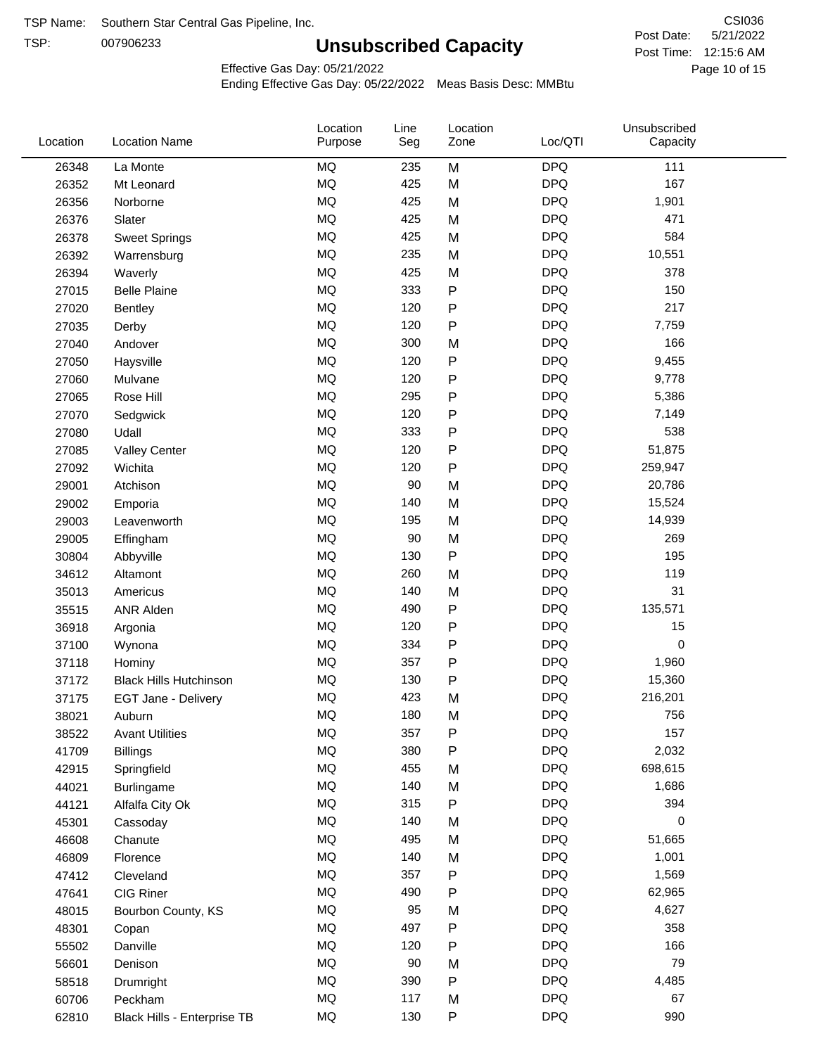TSP:

# **Unsubscribed Capacity**

5/21/2022 Page 10 of 15 Post Time: 12:15:6 AM CSI036 Post Date:

Effective Gas Day: 05/21/2022

| Location | <b>Location Name</b>          | Location<br>Purpose | Line<br>Seg | Location<br>Zone | Loc/QTI    | Unsubscribed<br>Capacity |  |
|----------|-------------------------------|---------------------|-------------|------------------|------------|--------------------------|--|
| 26348    | La Monte                      | <b>MQ</b>           | 235         | M                | <b>DPQ</b> | 111                      |  |
| 26352    | Mt Leonard                    | <b>MQ</b>           | 425         | M                | <b>DPQ</b> | 167                      |  |
| 26356    | Norborne                      | <b>MQ</b>           | 425         | M                | <b>DPQ</b> | 1,901                    |  |
| 26376    | Slater                        | <b>MQ</b>           | 425         | M                | <b>DPQ</b> | 471                      |  |
| 26378    | <b>Sweet Springs</b>          | <b>MQ</b>           | 425         | M                | <b>DPQ</b> | 584                      |  |
| 26392    | Warrensburg                   | <b>MQ</b>           | 235         | M                | <b>DPQ</b> | 10,551                   |  |
| 26394    | Waverly                       | <b>MQ</b>           | 425         | M                | <b>DPQ</b> | 378                      |  |
| 27015    | <b>Belle Plaine</b>           | <b>MQ</b>           | 333         | P                | <b>DPQ</b> | 150                      |  |
| 27020    | Bentley                       | <b>MQ</b>           | 120         | P                | <b>DPQ</b> | 217                      |  |
| 27035    | Derby                         | <b>MQ</b>           | 120         | Ρ                | <b>DPQ</b> | 7,759                    |  |
| 27040    | Andover                       | <b>MQ</b>           | 300         | M                | <b>DPQ</b> | 166                      |  |
| 27050    | Haysville                     | <b>MQ</b>           | 120         | P                | <b>DPQ</b> | 9,455                    |  |
| 27060    | Mulvane                       | <b>MQ</b>           | 120         | P                | <b>DPQ</b> | 9,778                    |  |
| 27065    | Rose Hill                     | <b>MQ</b>           | 295         | P                | <b>DPQ</b> | 5,386                    |  |
| 27070    | Sedgwick                      | <b>MQ</b>           | 120         | P                | <b>DPQ</b> | 7,149                    |  |
| 27080    | Udall                         | <b>MQ</b>           | 333         | P                | <b>DPQ</b> | 538                      |  |
| 27085    | <b>Valley Center</b>          | <b>MQ</b>           | 120         | P                | <b>DPQ</b> | 51,875                   |  |
| 27092    | Wichita                       | <b>MQ</b>           | 120         | P                | <b>DPQ</b> | 259,947                  |  |
| 29001    | Atchison                      | <b>MQ</b>           | 90          | M                | <b>DPQ</b> | 20,786                   |  |
| 29002    | Emporia                       | <b>MQ</b>           | 140         | M                | <b>DPQ</b> | 15,524                   |  |
| 29003    | Leavenworth                   | <b>MQ</b>           | 195         | M                | <b>DPQ</b> | 14,939                   |  |
| 29005    | Effingham                     | <b>MQ</b>           | 90          | M                | <b>DPQ</b> | 269                      |  |
| 30804    | Abbyville                     | <b>MQ</b>           | 130         | P                | <b>DPQ</b> | 195                      |  |
| 34612    | Altamont                      | <b>MQ</b>           | 260         | M                | <b>DPQ</b> | 119                      |  |
| 35013    | Americus                      | <b>MQ</b>           | 140         | M                | <b>DPQ</b> | 31                       |  |
| 35515    | <b>ANR Alden</b>              | <b>MQ</b>           | 490         | P                | <b>DPQ</b> | 135,571                  |  |
| 36918    | Argonia                       | <b>MQ</b>           | 120         | P                | <b>DPQ</b> | 15                       |  |
| 37100    | Wynona                        | <b>MQ</b>           | 334         | P                | <b>DPQ</b> | 0                        |  |
| 37118    | Hominy                        | <b>MQ</b>           | 357         | P                | <b>DPQ</b> | 1,960                    |  |
| 37172    | <b>Black Hills Hutchinson</b> | <b>MQ</b>           | 130         | P                | <b>DPQ</b> | 15,360                   |  |
| 37175    | EGT Jane - Delivery           | <b>MQ</b>           | 423         | M                | <b>DPQ</b> | 216,201                  |  |
| 38021    | Auburn                        | MQ                  | 180         | м                | <b>DPQ</b> | 756                      |  |
| 38522    | <b>Avant Utilities</b>        | MQ                  | 357         | P                | <b>DPQ</b> | 157                      |  |
| 41709    | <b>Billings</b>               | MQ                  | 380         | P                | <b>DPQ</b> | 2,032                    |  |
| 42915    | Springfield                   | MQ                  | 455         | M                | <b>DPQ</b> | 698,615                  |  |
| 44021    | Burlingame                    | <b>MQ</b>           | 140         | M                | <b>DPQ</b> | 1,686                    |  |
| 44121    | Alfalfa City Ok               | <b>MQ</b>           | 315         | P                | <b>DPQ</b> | 394                      |  |
| 45301    | Cassoday                      | MQ                  | 140         | M                | <b>DPQ</b> | 0                        |  |
| 46608    | Chanute                       | MQ                  | 495         | M                | <b>DPQ</b> | 51,665                   |  |
| 46809    | Florence                      | <b>MQ</b>           | 140         | M                | <b>DPQ</b> | 1,001                    |  |
| 47412    | Cleveland                     | MQ                  | 357         | Ρ                | <b>DPQ</b> | 1,569                    |  |
| 47641    | CIG Riner                     | <b>MQ</b>           | 490         | Ρ                | <b>DPQ</b> | 62,965                   |  |
| 48015    | Bourbon County, KS            | $\sf{MQ}$           | 95          | M                | <b>DPQ</b> | 4,627                    |  |
| 48301    | Copan                         | <b>MQ</b>           | 497         | Ρ                | <b>DPQ</b> | 358                      |  |
| 55502    | Danville                      | <b>MQ</b>           | 120         | P                | <b>DPQ</b> | 166                      |  |
| 56601    | Denison                       | <b>MQ</b>           | 90          | M                | <b>DPQ</b> | 79                       |  |
| 58518    | Drumright                     | <b>MQ</b>           | 390         | P                | <b>DPQ</b> | 4,485                    |  |
| 60706    | Peckham                       | <b>MQ</b>           | 117         | M                | <b>DPQ</b> | 67                       |  |
| 62810    | Black Hills - Enterprise TB   | <b>MQ</b>           | 130         | P                | <b>DPQ</b> | 990                      |  |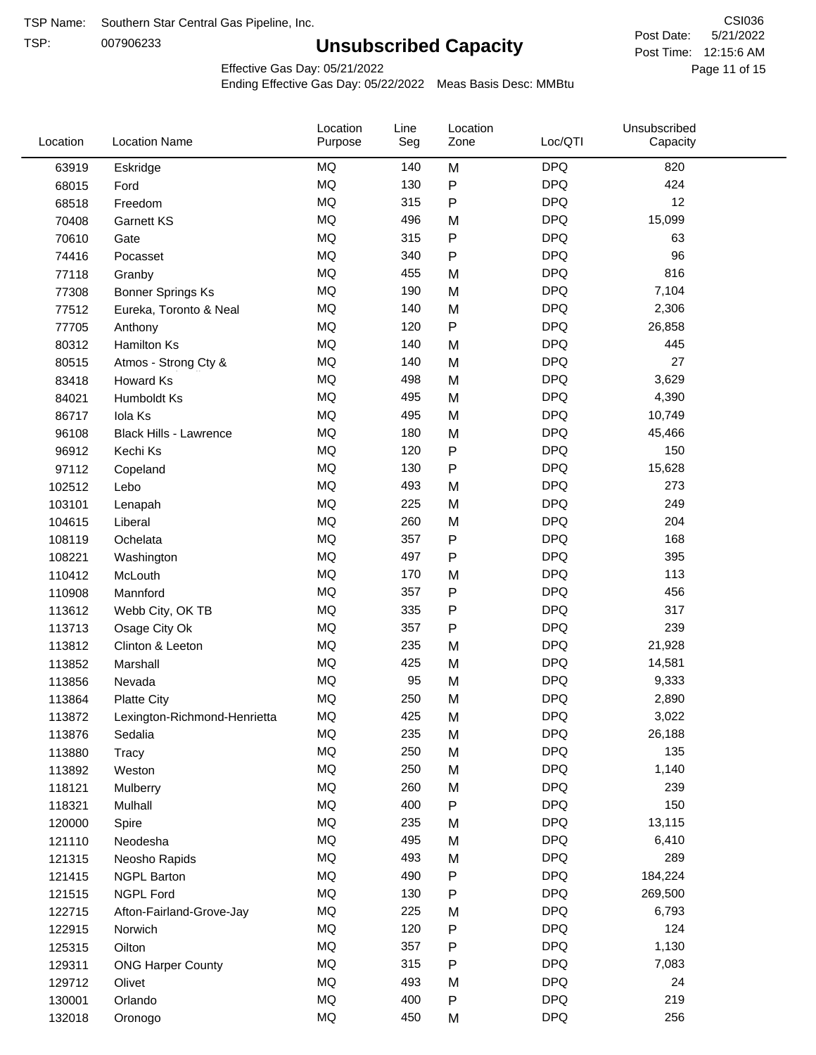TSP:

# **Unsubscribed Capacity**

5/21/2022 Page 11 of 15 Post Time: 12:15:6 AM CSI036 Post Date:

Effective Gas Day: 05/21/2022

| Location | <b>Location Name</b>          | Location<br>Purpose | Line<br>Seg | Location<br>Zone | Loc/QTI    | Unsubscribed<br>Capacity |  |
|----------|-------------------------------|---------------------|-------------|------------------|------------|--------------------------|--|
| 63919    | Eskridge                      | <b>MQ</b>           | 140         | M                | <b>DPQ</b> | 820                      |  |
| 68015    | Ford                          | MQ                  | 130         | ${\sf P}$        | <b>DPQ</b> | 424                      |  |
| 68518    | Freedom                       | <b>MQ</b>           | 315         | ${\sf P}$        | <b>DPQ</b> | 12                       |  |
| 70408    | <b>Garnett KS</b>             | <b>MQ</b>           | 496         | M                | <b>DPQ</b> | 15,099                   |  |
| 70610    | Gate                          | <b>MQ</b>           | 315         | ${\sf P}$        | <b>DPQ</b> | 63                       |  |
| 74416    | Pocasset                      | <b>MQ</b>           | 340         | P                | <b>DPQ</b> | 96                       |  |
| 77118    | Granby                        | MQ                  | 455         | M                | <b>DPQ</b> | 816                      |  |
| 77308    | <b>Bonner Springs Ks</b>      | <b>MQ</b>           | 190         | M                | <b>DPQ</b> | 7,104                    |  |
| 77512    | Eureka, Toronto & Neal        | <b>MQ</b>           | 140         | M                | <b>DPQ</b> | 2,306                    |  |
| 77705    | Anthony                       | <b>MQ</b>           | 120         | ${\sf P}$        | <b>DPQ</b> | 26,858                   |  |
| 80312    | Hamilton Ks                   | <b>MQ</b>           | 140         | M                | <b>DPQ</b> | 445                      |  |
| 80515    | Atmos - Strong Cty &          | <b>MQ</b>           | 140         | M                | <b>DPQ</b> | 27                       |  |
| 83418    | Howard Ks                     | MQ                  | 498         | M                | <b>DPQ</b> | 3,629                    |  |
| 84021    | Humboldt Ks                   | <b>MQ</b>           | 495         | M                | <b>DPQ</b> | 4,390                    |  |
| 86717    | Iola Ks                       | <b>MQ</b>           | 495         | M                | <b>DPQ</b> | 10,749                   |  |
| 96108    | <b>Black Hills - Lawrence</b> | MQ                  | 180         | M                | <b>DPQ</b> | 45,466                   |  |
| 96912    | Kechi Ks                      | <b>MQ</b>           | 120         | P                | <b>DPQ</b> | 150                      |  |
| 97112    | Copeland                      | <b>MQ</b>           | 130         | ${\sf P}$        | <b>DPQ</b> | 15,628                   |  |
| 102512   | Lebo                          | <b>MQ</b>           | 493         | M                | <b>DPQ</b> | 273                      |  |
| 103101   | Lenapah                       | <b>MQ</b>           | 225         | M                | <b>DPQ</b> | 249                      |  |
| 104615   | Liberal                       | MQ                  | 260         | M                | <b>DPQ</b> | 204                      |  |
| 108119   | Ochelata                      | <b>MQ</b>           | 357         | ${\sf P}$        | <b>DPQ</b> | 168                      |  |
| 108221   | Washington                    | <b>MQ</b>           | 497         | P                | <b>DPQ</b> | 395                      |  |
| 110412   | McLouth                       | <b>MQ</b>           | 170         | M                | <b>DPQ</b> | 113                      |  |
| 110908   | Mannford                      | MQ                  | 357         | P                | <b>DPQ</b> | 456                      |  |
| 113612   | Webb City, OK TB              | <b>MQ</b>           | 335         | ${\sf P}$        | <b>DPQ</b> | 317                      |  |
| 113713   | Osage City Ok                 | <b>MQ</b>           | 357         | P                | <b>DPQ</b> | 239                      |  |
| 113812   | Clinton & Leeton              | MQ                  | 235         | M                | <b>DPQ</b> | 21,928                   |  |
| 113852   | Marshall                      | MQ                  | 425         | M                | <b>DPQ</b> | 14,581                   |  |
| 113856   | Nevada                        | MQ                  | 95          | M                | <b>DPQ</b> | 9,333                    |  |
| 113864   | <b>Platte City</b>            | MQ                  | 250         | M                | <b>DPQ</b> | 2,890                    |  |
| 113872   | Lexington-Richmond-Henrietta  | MQ                  | 425         | M                | <b>DPQ</b> | 3,022                    |  |
| 113876   | Sedalia                       | ΜQ                  | 235         | M                | <b>DPQ</b> | 26,188                   |  |
| 113880   | Tracy                         | MQ                  | 250         | M                | <b>DPQ</b> | 135                      |  |
| 113892   | Weston                        | MQ                  | 250         | M                | <b>DPQ</b> | 1,140                    |  |
| 118121   | Mulberry                      | MQ                  | 260         | M                | <b>DPQ</b> | 239                      |  |
| 118321   | Mulhall                       | MQ                  | 400         | P                | <b>DPQ</b> | 150                      |  |
| 120000   | Spire                         | MQ                  | 235         | M                | <b>DPQ</b> | 13,115                   |  |
| 121110   | Neodesha                      | $\sf{MQ}$           | 495         | M                | <b>DPQ</b> | 6,410                    |  |
| 121315   | Neosho Rapids                 | MQ                  | 493         | M                | <b>DPQ</b> | 289                      |  |
| 121415   | <b>NGPL Barton</b>            | MQ                  | 490         | P                | <b>DPQ</b> | 184,224                  |  |
| 121515   | <b>NGPL Ford</b>              | MQ                  | 130         | ${\sf P}$        | <b>DPQ</b> | 269,500                  |  |
| 122715   | Afton-Fairland-Grove-Jay      | MQ                  | 225         | M                | <b>DPQ</b> | 6,793                    |  |
| 122915   | Norwich                       | MQ                  | 120         | ${\sf P}$        | <b>DPQ</b> | 124                      |  |
| 125315   | Oilton                        | MQ                  | 357         | ${\sf P}$        | <b>DPQ</b> | 1,130                    |  |
| 129311   | <b>ONG Harper County</b>      | MQ                  | 315         | P                | <b>DPQ</b> | 7,083                    |  |
| 129712   | Olivet                        | MQ                  | 493         | M                | <b>DPQ</b> | 24                       |  |
| 130001   | Orlando                       | MQ                  | 400         | P                | <b>DPQ</b> | 219                      |  |
| 132018   | Oronogo                       | MQ                  | 450         | M                | <b>DPQ</b> | 256                      |  |
|          |                               |                     |             |                  |            |                          |  |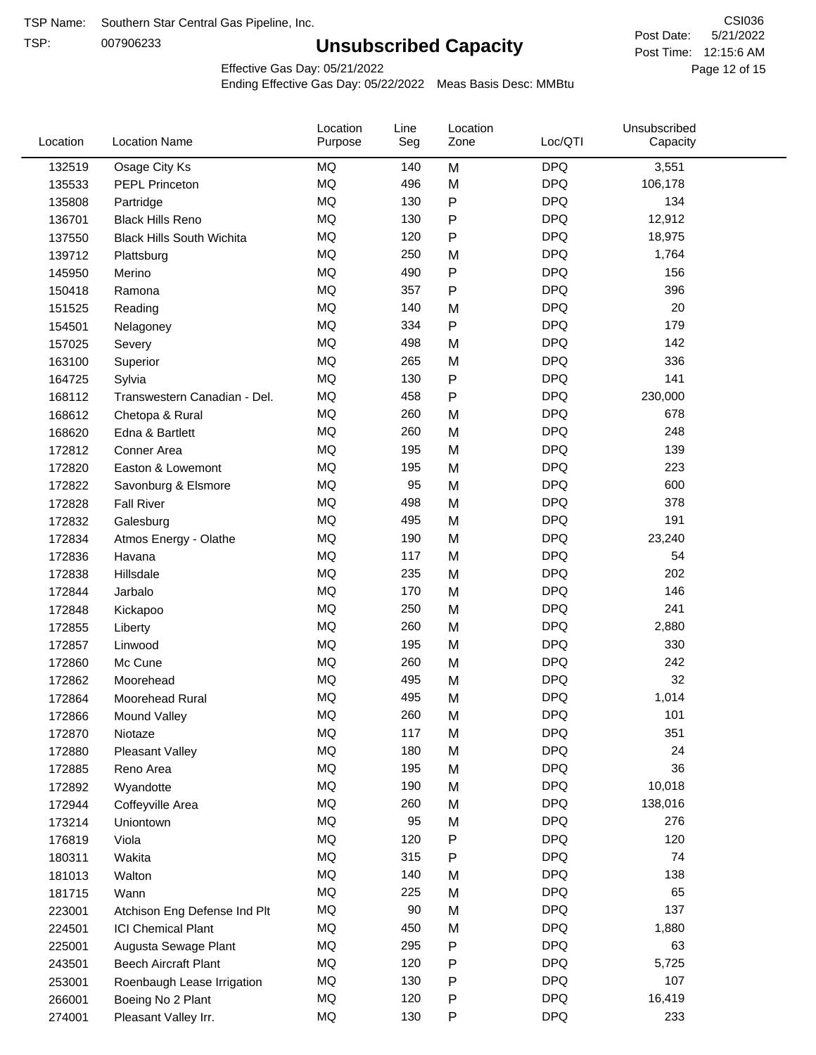TSP:

# **Unsubscribed Capacity**

5/21/2022 Page 12 of 15 Post Time: 12:15:6 AM CSI036 Post Date:

Effective Gas Day: 05/21/2022

| Location | <b>Location Name</b>             | Location<br>Purpose | Line<br>Seg | Location<br>Zone | Loc/QTI    | Unsubscribed<br>Capacity |  |
|----------|----------------------------------|---------------------|-------------|------------------|------------|--------------------------|--|
| 132519   | Osage City Ks                    | MQ                  | 140         | M                | <b>DPQ</b> | 3,551                    |  |
| 135533   | <b>PEPL Princeton</b>            | MQ                  | 496         | M                | <b>DPQ</b> | 106,178                  |  |
| 135808   | Partridge                        | MQ                  | 130         | P                | <b>DPQ</b> | 134                      |  |
| 136701   | <b>Black Hills Reno</b>          | <b>MQ</b>           | 130         | P                | <b>DPQ</b> | 12,912                   |  |
| 137550   | <b>Black Hills South Wichita</b> | <b>MQ</b>           | 120         | P                | <b>DPQ</b> | 18,975                   |  |
| 139712   | Plattsburg                       | <b>MQ</b>           | 250         | M                | <b>DPQ</b> | 1,764                    |  |
| 145950   | Merino                           | <b>MQ</b>           | 490         | P                | <b>DPQ</b> | 156                      |  |
| 150418   | Ramona                           | <b>MQ</b>           | 357         | P                | <b>DPQ</b> | 396                      |  |
| 151525   | Reading                          | <b>MQ</b>           | 140         | M                | <b>DPQ</b> | 20                       |  |
| 154501   | Nelagoney                        | <b>MQ</b>           | 334         | P                | <b>DPQ</b> | 179                      |  |
| 157025   | Severy                           | <b>MQ</b>           | 498         | M                | <b>DPQ</b> | 142                      |  |
| 163100   | Superior                         | <b>MQ</b>           | 265         | M                | <b>DPQ</b> | 336                      |  |
| 164725   | Sylvia                           | <b>MQ</b>           | 130         | P                | <b>DPQ</b> | 141                      |  |
| 168112   | Transwestern Canadian - Del.     | <b>MQ</b>           | 458         | P                | <b>DPQ</b> | 230,000                  |  |
| 168612   | Chetopa & Rural                  | <b>MQ</b>           | 260         | M                | <b>DPQ</b> | 678                      |  |
| 168620   | Edna & Bartlett                  | <b>MQ</b>           | 260         | M                | <b>DPQ</b> | 248                      |  |
| 172812   | Conner Area                      | MQ                  | 195         | M                | <b>DPQ</b> | 139                      |  |
| 172820   | Easton & Lowemont                | MQ                  | 195         | M                | <b>DPQ</b> | 223                      |  |
| 172822   | Savonburg & Elsmore              | <b>MQ</b>           | 95          | M                | <b>DPQ</b> | 600                      |  |
| 172828   | <b>Fall River</b>                | <b>MQ</b>           | 498         | M                | <b>DPQ</b> | 378                      |  |
| 172832   | Galesburg                        | <b>MQ</b>           | 495         | M                | <b>DPQ</b> | 191                      |  |
| 172834   | Atmos Energy - Olathe            | <b>MQ</b>           | 190         | M                | <b>DPQ</b> | 23,240                   |  |
| 172836   | Havana                           | <b>MQ</b>           | 117         | M                | <b>DPQ</b> | 54                       |  |
| 172838   | Hillsdale                        | <b>MQ</b>           | 235         | M                | <b>DPQ</b> | 202                      |  |
| 172844   | Jarbalo                          | <b>MQ</b>           | 170         | M                | <b>DPQ</b> | 146                      |  |
| 172848   | Kickapoo                         | <b>MQ</b>           | 250         | M                | <b>DPQ</b> | 241                      |  |
| 172855   | Liberty                          | <b>MQ</b>           | 260         | M                | <b>DPQ</b> | 2,880                    |  |
| 172857   | Linwood                          | <b>MQ</b>           | 195         | M                | <b>DPQ</b> | 330                      |  |
| 172860   | Mc Cune                          | <b>MQ</b>           | 260         | M                | <b>DPQ</b> | 242                      |  |
| 172862   | Moorehead                        | <b>MQ</b>           | 495         | M                | <b>DPQ</b> | 32                       |  |
| 172864   | Moorehead Rural                  | <b>MQ</b>           | 495         | M                | <b>DPQ</b> | 1,014                    |  |
| 172866   | Mound Valley                     | MQ                  | 260         | M                | <b>DPQ</b> | 101                      |  |
| 172870   | Niotaze                          | MQ                  | 117         | M                | <b>DPQ</b> | 351                      |  |
| 172880   | Pleasant Valley                  | MQ                  | 180         | M                | <b>DPQ</b> | 24                       |  |
| 172885   | Reno Area                        | MQ                  | 195         | M                | <b>DPQ</b> | 36                       |  |
| 172892   | Wyandotte                        | <b>MQ</b>           | 190         | M                | <b>DPQ</b> | 10,018                   |  |
| 172944   | Coffeyville Area                 | MQ                  | 260         | M                | <b>DPQ</b> | 138,016                  |  |
| 173214   | Uniontown                        | <b>MQ</b>           | 95          | M                | <b>DPQ</b> | 276                      |  |
| 176819   | Viola                            | MQ                  | 120         | P                | <b>DPQ</b> | 120                      |  |
| 180311   | Wakita                           | <b>MQ</b>           | 315         | Ρ                | <b>DPQ</b> | 74                       |  |
| 181013   | Walton                           | MQ                  | 140         | M                | <b>DPQ</b> | 138                      |  |
| 181715   | Wann                             | <b>MQ</b>           | 225         | M                | <b>DPQ</b> | 65                       |  |
| 223001   | Atchison Eng Defense Ind Plt     | $\sf{MQ}$           | $90\,$      | M                | <b>DPQ</b> | 137                      |  |
| 224501   | <b>ICI Chemical Plant</b>        | $\sf{MQ}$           | 450         | M                | <b>DPQ</b> | 1,880                    |  |
| 225001   | Augusta Sewage Plant             | MQ                  | 295         | Ρ                | <b>DPQ</b> | 63                       |  |
| 243501   | <b>Beech Aircraft Plant</b>      | MQ                  | 120         | Ρ                | <b>DPQ</b> | 5,725                    |  |
| 253001   | Roenbaugh Lease Irrigation       | MQ                  | 130         | Ρ                | <b>DPQ</b> | 107                      |  |
| 266001   | Boeing No 2 Plant                | MQ                  | 120         | P                | <b>DPQ</b> | 16,419                   |  |
| 274001   | Pleasant Valley Irr.             | MQ                  | 130         | P                | <b>DPQ</b> | 233                      |  |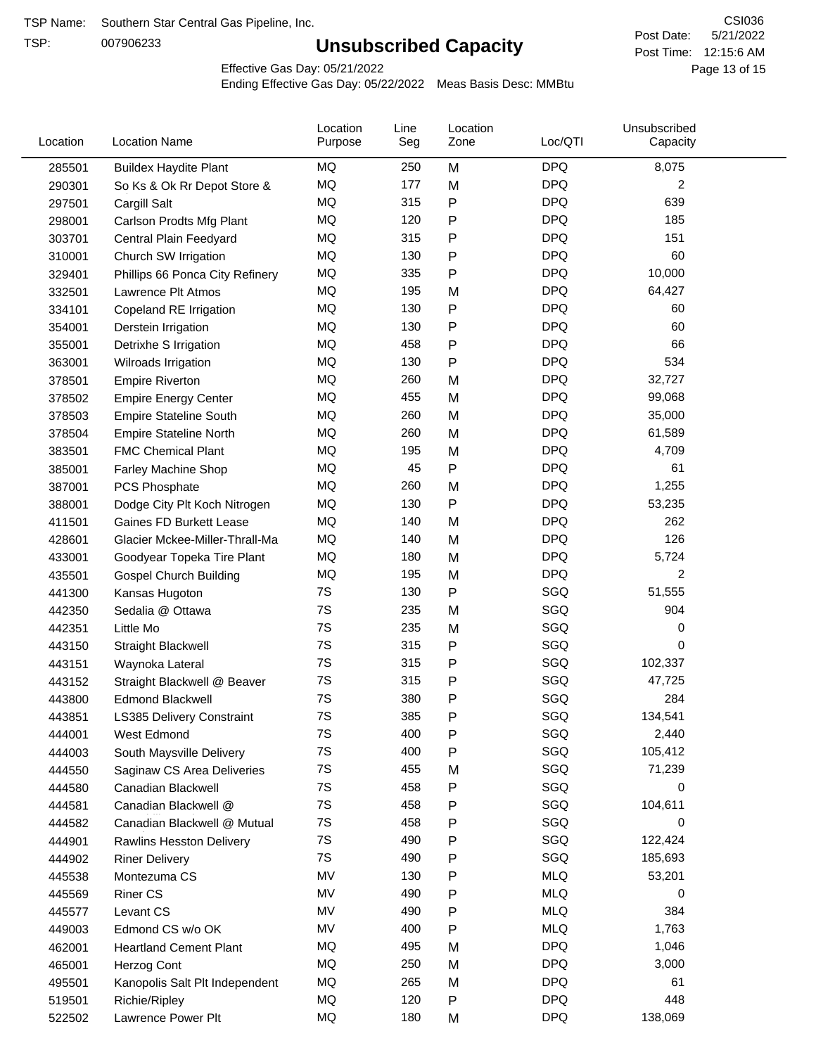TSP:

# **Unsubscribed Capacity**

5/21/2022 Page 13 of 15 Post Time: 12:15:6 AM CSI036 Post Date:

Effective Gas Day: 05/21/2022

| Location | <b>Location Name</b>            | Location<br>Purpose | Line<br>Seg | Location<br>Zone | Loc/QTI    | Unsubscribed<br>Capacity |  |
|----------|---------------------------------|---------------------|-------------|------------------|------------|--------------------------|--|
| 285501   | <b>Buildex Haydite Plant</b>    | MQ                  | 250         | M                | <b>DPQ</b> | 8,075                    |  |
| 290301   | So Ks & Ok Rr Depot Store &     | MQ                  | 177         | M                | <b>DPQ</b> | 2                        |  |
| 297501   | Cargill Salt                    | MQ                  | 315         | P                | <b>DPQ</b> | 639                      |  |
| 298001   | Carlson Prodts Mfg Plant        | <b>MQ</b>           | 120         | P                | <b>DPQ</b> | 185                      |  |
| 303701   | Central Plain Feedyard          | MQ                  | 315         | Ρ                | <b>DPQ</b> | 151                      |  |
| 310001   | Church SW Irrigation            | MQ                  | 130         | P                | <b>DPQ</b> | 60                       |  |
| 329401   | Phillips 66 Ponca City Refinery | MQ                  | 335         | Ρ                | <b>DPQ</b> | 10,000                   |  |
| 332501   | Lawrence Plt Atmos              | MQ                  | 195         | M                | <b>DPQ</b> | 64,427                   |  |
| 334101   | Copeland RE Irrigation          | MQ                  | 130         | Ρ                | <b>DPQ</b> | 60                       |  |
| 354001   | Derstein Irrigation             | MQ                  | 130         | Ρ                | <b>DPQ</b> | 60                       |  |
| 355001   | Detrixhe S Irrigation           | MQ                  | 458         | P                | <b>DPQ</b> | 66                       |  |
| 363001   | Wilroads Irrigation             | MQ                  | 130         | Ρ                | <b>DPQ</b> | 534                      |  |
| 378501   | <b>Empire Riverton</b>          | <b>MQ</b>           | 260         | M                | <b>DPQ</b> | 32,727                   |  |
| 378502   | <b>Empire Energy Center</b>     | MQ                  | 455         | M                | <b>DPQ</b> | 99,068                   |  |
| 378503   | <b>Empire Stateline South</b>   | MQ                  | 260         | M                | <b>DPQ</b> | 35,000                   |  |
| 378504   | <b>Empire Stateline North</b>   | MQ                  | 260         | M                | <b>DPQ</b> | 61,589                   |  |
| 383501   | <b>FMC Chemical Plant</b>       | MQ                  | 195         | M                | <b>DPQ</b> | 4,709                    |  |
| 385001   | <b>Farley Machine Shop</b>      | MQ                  | 45          | P                | <b>DPQ</b> | 61                       |  |
| 387001   | PCS Phosphate                   | MQ                  | 260         | M                | <b>DPQ</b> | 1,255                    |  |
| 388001   | Dodge City Plt Koch Nitrogen    | MQ                  | 130         | P                | <b>DPQ</b> | 53,235                   |  |
| 411501   | Gaines FD Burkett Lease         | MQ                  | 140         | M                | <b>DPQ</b> | 262                      |  |
| 428601   | Glacier Mckee-Miller-Thrall-Ma  | <b>MQ</b>           | 140         | M                | <b>DPQ</b> | 126                      |  |
| 433001   | Goodyear Topeka Tire Plant      | MQ                  | 180         | M                | <b>DPQ</b> | 5,724                    |  |
| 435501   | <b>Gospel Church Building</b>   | MQ                  | 195         | M                | <b>DPQ</b> | $\overline{2}$           |  |
| 441300   | Kansas Hugoton                  | 7S                  | 130         | Ρ                | SGQ        | 51,555                   |  |
| 442350   | Sedalia @ Ottawa                | 7S                  | 235         | M                | SGQ        | 904                      |  |
| 442351   | Little Mo                       | 7S                  | 235         | M                | SGQ        | 0                        |  |
| 443150   | Straight Blackwell              | 7S                  | 315         | Ρ                | SGQ        | 0                        |  |
| 443151   | Waynoka Lateral                 | 7S                  | 315         | P                | SGQ        | 102,337                  |  |
| 443152   | Straight Blackwell @ Beaver     | 7S                  | 315         | Ρ                | SGQ        | 47,725                   |  |
| 443800   | <b>Edmond Blackwell</b>         | 7S                  | 380         | Ρ                | SGQ        | 284                      |  |
| 443851   | LS385 Delivery Constraint       | 7S                  | 385         | P                | SGQ        | 134,541                  |  |
| 444001   | West Edmond                     | 7S                  | 400         | P                | SGQ        | 2,440                    |  |
| 444003   | South Maysville Delivery        | 7S                  | 400         | P                | SGQ        | 105,412                  |  |
| 444550   | Saginaw CS Area Deliveries      | 7S                  | 455         | M                | SGQ        | 71,239                   |  |
| 444580   | Canadian Blackwell              | 7S                  | 458         | P                | SGQ        | 0                        |  |
| 444581   | Canadian Blackwell @            | 7S                  | 458         | Ρ                | SGQ        | 104,611                  |  |
| 444582   | Canadian Blackwell @ Mutual     | 7S                  | 458         | Ρ                | SGQ        | 0                        |  |
| 444901   | Rawlins Hesston Delivery        | 7S                  | 490         | Ρ                | SGQ        | 122,424                  |  |
| 444902   | <b>Riner Delivery</b>           | 7S                  | 490         | Ρ                | SGQ        | 185,693                  |  |
| 445538   | Montezuma CS                    | MV                  | 130         | Ρ                | <b>MLQ</b> | 53,201                   |  |
| 445569   | <b>Riner CS</b>                 | MV                  | 490         | Ρ                | <b>MLQ</b> | 0                        |  |
| 445577   | Levant CS                       | MV                  | 490         | P                | <b>MLQ</b> | 384                      |  |
| 449003   | Edmond CS w/o OK                | MV                  | 400         | Ρ                | <b>MLQ</b> | 1,763                    |  |
| 462001   | <b>Heartland Cement Plant</b>   | MQ                  | 495         | M                | <b>DPQ</b> | 1,046                    |  |
| 465001   | Herzog Cont                     | MQ                  | 250         | M                | <b>DPQ</b> | 3,000                    |  |
| 495501   | Kanopolis Salt Plt Independent  | MQ                  | 265         | M                | <b>DPQ</b> | 61                       |  |
| 519501   | Richie/Ripley                   | MQ                  | 120         | P                | <b>DPQ</b> | 448                      |  |
| 522502   | Lawrence Power Plt              | MQ                  | 180         | M                | <b>DPQ</b> | 138,069                  |  |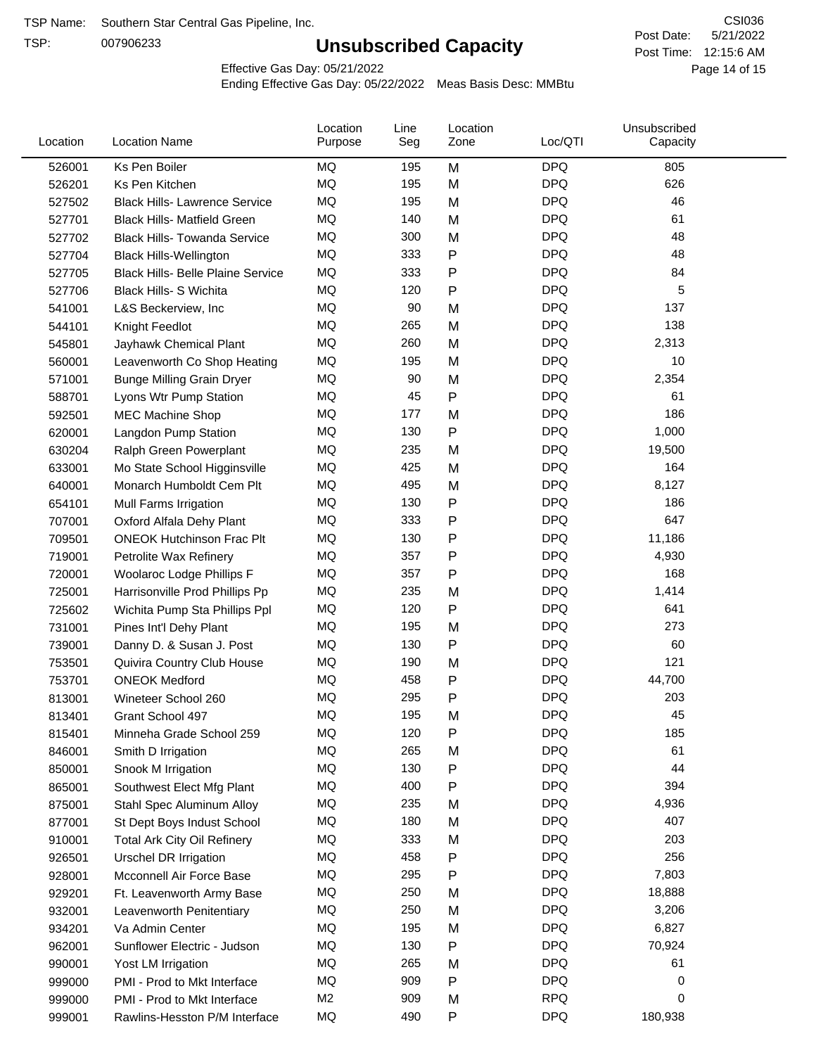TSP:

# **Unsubscribed Capacity**

5/21/2022 Page 14 of 15 Post Time: 12:15:6 AM CSI036 Post Date:

Effective Gas Day: 05/21/2022

| Location | <b>Location Name</b>                     | Location<br>Purpose | Line<br>Seg | Location<br>Zone | Loc/QTI    | Unsubscribed<br>Capacity |  |
|----------|------------------------------------------|---------------------|-------------|------------------|------------|--------------------------|--|
| 526001   | Ks Pen Boiler                            | MQ                  | 195         | M                | <b>DPQ</b> | 805                      |  |
| 526201   | Ks Pen Kitchen                           | MQ                  | 195         | M                | <b>DPQ</b> | 626                      |  |
| 527502   | <b>Black Hills-Lawrence Service</b>      | MQ                  | 195         | M                | <b>DPQ</b> | 46                       |  |
| 527701   | <b>Black Hills- Matfield Green</b>       | <b>MQ</b>           | 140         | M                | <b>DPQ</b> | 61                       |  |
| 527702   | <b>Black Hills- Towanda Service</b>      | <b>MQ</b>           | 300         | M                | <b>DPQ</b> | 48                       |  |
| 527704   | <b>Black Hills-Wellington</b>            | MQ                  | 333         | Ρ                | <b>DPQ</b> | 48                       |  |
| 527705   | <b>Black Hills- Belle Plaine Service</b> | MQ                  | 333         | Ρ                | <b>DPQ</b> | 84                       |  |
| 527706   | Black Hills- S Wichita                   | MQ                  | 120         | Ρ                | <b>DPQ</b> | 5                        |  |
| 541001   | L&S Beckerview, Inc.                     | MQ                  | 90          | M                | <b>DPQ</b> | 137                      |  |
| 544101   | Knight Feedlot                           | MQ                  | 265         | M                | <b>DPQ</b> | 138                      |  |
| 545801   | Jayhawk Chemical Plant                   | MQ                  | 260         | M                | <b>DPQ</b> | 2,313                    |  |
| 560001   | Leavenworth Co Shop Heating              | MQ                  | 195         | M                | <b>DPQ</b> | 10                       |  |
| 571001   | <b>Bunge Milling Grain Dryer</b>         | MQ                  | 90          | M                | <b>DPQ</b> | 2,354                    |  |
| 588701   | Lyons Wtr Pump Station                   | MQ                  | 45          | P                | <b>DPQ</b> | 61                       |  |
| 592501   | <b>MEC Machine Shop</b>                  | MQ                  | 177         | M                | <b>DPQ</b> | 186                      |  |
| 620001   | Langdon Pump Station                     | MQ                  | 130         | P                | <b>DPQ</b> | 1,000                    |  |
| 630204   | Ralph Green Powerplant                   | MQ                  | 235         | M                | <b>DPQ</b> | 19,500                   |  |
| 633001   | Mo State School Higginsville             | MQ                  | 425         | M                | <b>DPQ</b> | 164                      |  |
| 640001   | Monarch Humboldt Cem Plt                 | MQ                  | 495         | M                | <b>DPQ</b> | 8,127                    |  |
| 654101   | Mull Farms Irrigation                    | MQ                  | 130         | P                | <b>DPQ</b> | 186                      |  |
| 707001   | Oxford Alfala Dehy Plant                 | MQ                  | 333         | Ρ                | <b>DPQ</b> | 647                      |  |
| 709501   | <b>ONEOK Hutchinson Frac Plt</b>         | <b>MQ</b>           | 130         | Ρ                | <b>DPQ</b> | 11,186                   |  |
| 719001   | Petrolite Wax Refinery                   | MQ                  | 357         | P                | <b>DPQ</b> | 4,930                    |  |
| 720001   | Woolaroc Lodge Phillips F                | MQ                  | 357         | Ρ                | <b>DPQ</b> | 168                      |  |
| 725001   | Harrisonville Prod Phillips Pp           | MQ                  | 235         | M                | <b>DPQ</b> | 1,414                    |  |
| 725602   | Wichita Pump Sta Phillips Ppl            | MQ                  | 120         | Ρ                | <b>DPQ</b> | 641                      |  |
| 731001   | Pines Int'l Dehy Plant                   | MQ                  | 195         | M                | <b>DPQ</b> | 273                      |  |
| 739001   | Danny D. & Susan J. Post                 | MQ                  | 130         | P                | <b>DPQ</b> | 60                       |  |
| 753501   | Quivira Country Club House               | MQ                  | 190         | M                | <b>DPQ</b> | 121                      |  |
| 753701   | <b>ONEOK Medford</b>                     | MQ                  | 458         | P                | <b>DPQ</b> | 44,700                   |  |
| 813001   | Wineteer School 260                      | MQ                  | 295         | P                | <b>DPQ</b> | 203                      |  |
| 813401   | Grant School 497                         | MQ                  | 195         | M                | <b>DPQ</b> | 45                       |  |
| 815401   | Minneha Grade School 259                 | MQ                  | 120         | Ρ                | <b>DPQ</b> | 185                      |  |
| 846001   | Smith D Irrigation                       | MQ                  | 265         | M                | <b>DPQ</b> | 61                       |  |
| 850001   | Snook M Irrigation                       | MQ                  | 130         | P                | <b>DPQ</b> | 44                       |  |
| 865001   | Southwest Elect Mfg Plant                | MQ                  | 400         | Ρ                | <b>DPQ</b> | 394                      |  |
| 875001   | Stahl Spec Aluminum Alloy                | MQ                  | 235         | M                | <b>DPQ</b> | 4,936                    |  |
| 877001   | St Dept Boys Indust School               | MQ                  | 180         | M                | <b>DPQ</b> | 407                      |  |
| 910001   | <b>Total Ark City Oil Refinery</b>       | MQ                  | 333         | M                | <b>DPQ</b> | 203                      |  |
| 926501   | <b>Urschel DR Irrigation</b>             | MQ                  | 458         | Ρ                | <b>DPQ</b> | 256                      |  |
| 928001   | Mcconnell Air Force Base                 | MQ                  | 295         | P                | <b>DPQ</b> | 7,803                    |  |
| 929201   | Ft. Leavenworth Army Base                | MQ                  | 250         | M                | <b>DPQ</b> | 18,888                   |  |
| 932001   | Leavenworth Penitentiary                 | MQ                  | 250         | M                | <b>DPQ</b> | 3,206                    |  |
| 934201   | Va Admin Center                          | MQ                  | 195         | M                | <b>DPQ</b> | 6,827                    |  |
| 962001   | Sunflower Electric - Judson              | MQ                  | 130         | Ρ                | <b>DPQ</b> | 70,924                   |  |
| 990001   | Yost LM Irrigation                       | MQ                  | 265         | M                | <b>DPQ</b> | 61                       |  |
| 999000   | PMI - Prod to Mkt Interface              | MQ                  | 909         | P                | <b>DPQ</b> | 0                        |  |
| 999000   | PMI - Prod to Mkt Interface              | M <sub>2</sub>      | 909         | M                | <b>RPQ</b> | 0                        |  |
| 999001   | Rawlins-Hesston P/M Interface            | MQ                  | 490         | P                | <b>DPQ</b> | 180,938                  |  |